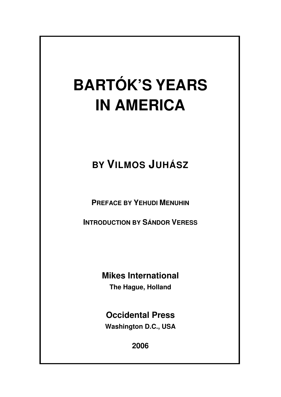# **BARTÓK'S YEARS IN AMERICA**

## **BY VILMOS JUHÁSZ**

**PREFACE BY YEHUDI MENUHIN**

**INTRODUCTION BY SÁNDOR VERESS**

### **Mikes International**

**The Hague, Holland**

**Occidental Press Washington D.C., USA** 

**2006**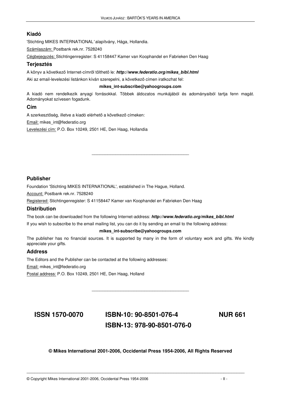### **Kiadó**

'Stichting MIKES INTERNATIONAL' alapítvány, Hága, Hollandia.

Számlaszám: Postbank rek.nr. 7528240

Cégbejegyzés: Stichtingenregister: S 41158447 Kamer van Koophandel en Fabrieken Den Haag

### **Terjesztés**

A könyv a következő Internet-címről tölthető le: **http://www.federatio.org/mikes\_bibl.html** 

Aki az email-levelezési listánkon kíván szerepelni, a következő címen iratkozhat fel:

#### **mikes\_int-subscribe@yahoogroups.com**

A kiadó nem rendelkezik anyagi forrásokkal. Többek áldozatos munkájából és adományaiból tartja fenn magát. Adományokat szívesen fogadunk.

\_\_\_\_\_\_\_\_\_\_\_\_\_\_\_\_\_\_\_\_\_\_\_\_\_\_\_\_\_\_\_\_\_\_\_\_\_

### **Cím**

A szerkesztőség, illetve a kiadó elérhető a következő címeken: Email: mikes\_int@federatio.org Levelezési cím: P.O. Box 10249, 2501 HE, Den Haag, Hollandia

### **Publisher**

Foundation 'Stichting MIKES INTERNATIONAL', established in The Hague, Holland.

Account: Postbank rek.nr. 7528240

Registered: Stichtingenregister: S 41158447 Kamer van Koophandel en Fabrieken Den Haag

#### **Distribution**

The book can be downloaded from the following Internet-address: **http://www.federatio.org/mikes\_bibl.html** 

If you wish to subscribe to the email mailing list, you can do it by sending an email to the following address:

#### **mikes\_int-subscribe@yahoogroups.com**

The publisher has no financial sources. It is supported by many in the form of voluntary work and gifts. We kindly appreciate your gifts.

\_\_\_\_\_\_\_\_\_\_\_\_\_\_\_\_\_\_\_\_\_\_\_\_\_\_\_\_\_\_\_\_\_\_\_\_\_

### **Address**

The Editors and the Publisher can be contacted at the following addresses:

Email: mikes\_int@federatio.org

Postal address: P.O. Box 10249, 2501 HE, Den Haag, Holland

### **ISSN 1570-0070 ISBN-10: 90-8501-076-4 ISBN-13: 978-90-8501-076-0**

**NUR 661** 

### **© Mikes International 2001-2006, Occidental Press 1954-2006, All Rights Reserved**

\_\_\_\_\_\_\_\_\_\_\_\_\_\_\_\_\_\_\_\_\_\_\_\_\_\_\_\_\_\_\_\_\_\_\_\_\_\_\_\_\_\_\_\_\_\_\_\_\_\_\_\_\_\_\_\_\_\_\_\_\_\_\_\_\_\_\_\_\_\_\_\_\_\_\_\_\_\_\_\_\_\_\_

© Copyright Mikes International 2001-2006, Occidental Press 1954-2006 - II -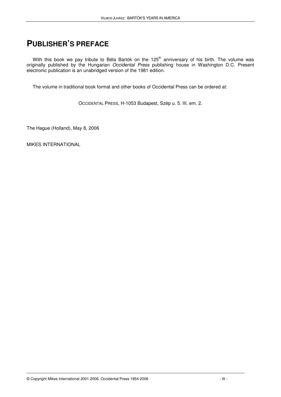### **PUBLISHER'S PREFACE**

With this book we pay tribute to Béla Bartók on the 125<sup>th</sup> anniversary of his birth. The volume was originally published by the Hungarian Occidental Press publishing house in Washington D.C. Present electronic publication is an unabridged version of the 1981 edition.

The volume in traditional book format and other books of Occidental Press can be ordered at:

OCCIDENTAL PRESS, H-1053 Budapest, Szép u. 5. III. em. 2.

The Hague (Holland), May 8, 2006

MIKES INTERNATIONAL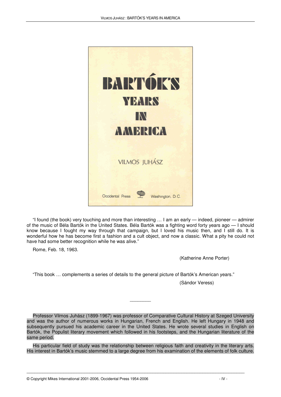

"I found (the book) very touching and more than interesting … I am an early — indeed, pioneer — admirer of the music of Béla Bartók in the United States. Béla Bartók was a fighting word forty years ago — I should know because I fought my way through that campaign, but I loved his music then, and I still do. It is wonderful how he has become first a fashion and a cult object, and now a classic. What a pity he could not have had some better recognition while he was alive."

Rome, Feb. 18, 1963.

(Katherine Anne Porter)

"This book … complements a series of details to the general picture of Bartók's American years."

(Sándor Veress)

Professor Vilmos Juhász (1899-1967) was professor of Comparative Cultural History at Szeged University and was the author of numerous works in Hungarian, French and English. He left Hungary in 1948 and subsequently pursued his academic career in the United States. He wrote several studies in English on Bartók, the Populist literary movement which followed in his footsteps, and the Hungarian literature of the same period.

 $\overline{\phantom{a}}$ 

His particular field of study was the relationship between religious faith and creativity in the literary arts. His interest in Bartók's music stemmed to a large degree from his examination of the elements of folk culture.

\_\_\_\_\_\_\_\_\_\_\_\_\_\_\_\_\_\_\_\_\_\_\_\_\_\_\_\_\_\_\_\_\_\_\_\_\_\_\_\_\_\_\_\_\_\_\_\_\_\_\_\_\_\_\_\_\_\_\_\_\_\_\_\_\_\_\_\_\_\_\_\_\_\_\_\_\_\_\_\_\_\_\_

© Copyright Mikes International 2001-2006, Occidental Press 1954-2006 - IV -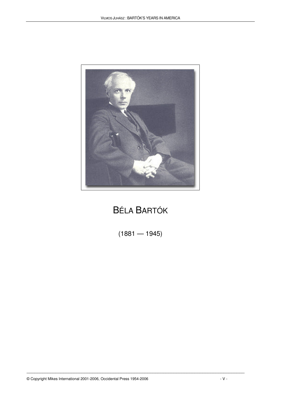

### BÉLA BARTÓK

 $(1881 - 1945)$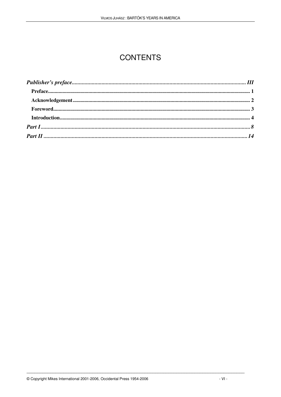### **CONTENTS**

| For every ord. 3 |  |
|------------------|--|
|                  |  |
|                  |  |
|                  |  |
|                  |  |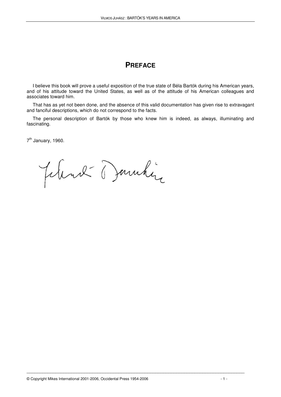### **PREFACE**

I believe this book will prove a useful exposition of the true state of Béla Bartók during his American years, and of his attitude toward the United States, as well as of the attitude of his American colleagues and associates toward him.

That has as yet not been done, and the absence of this valid documentation has given rise to extravagant and fanciful descriptions, which do not correspond to the facts.

The personal description of Bartók by those who knew him is indeed, as always, illuminating and fascinating.

7<sup>th</sup> January, 1960.

Jelend Dannhir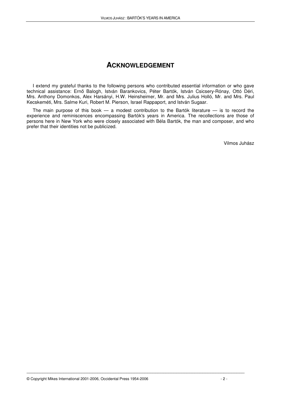### **ACKNOWLEDGEMENT**

I extend my grateful thanks to the following persons who contributed essential information or who gave technical assistance: Ernő Balogh, István Barankovics, Péter Bartók, István Csicsery-Rónay, Ottó Déri, Mrs. Anthony Domonkos, Alex Harsányi, H.W. Heinsheimer, Mr. and Mrs. Julius Holló, Mr. and Mrs. Paul Kecskeméti, Mrs. Salme Kuri, Robert M. Pierson, Israel Rappaport, and István Sugaar.

The main purpose of this book  $-$  a modest contribution to the Bartók literature  $-$  is to record the experience and reminiscences encompassing Bartók's years in America. The recollections are those of persons here in New York who were closely associated with Béla Bartók, the man and composer, and who prefer that their identities not be publicized.

Vilmos Juhász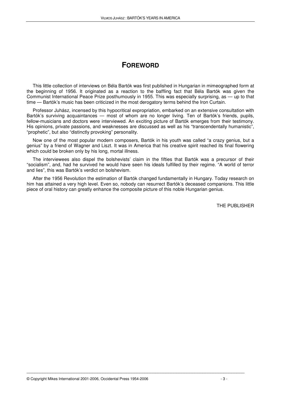### **FOREWORD**

This little collection of interviews on Béla Bartók was first published in Hungarian in mimeographed form at the beginning of 1956. It originated as a reaction to the baffling fact that Béla Bartók was given the Communist International Peace Prize posthumously in 1955. This was especially surprising, as — up to that time — Bartók's music has been criticized in the most derogatory terms behind the Iron Curtain.

Professor Juhász, incensed by this hypocritical expropriation, embarked on an extensive consultation with Bartók's surviving acquaintances — most of whom are no longer living. Ten of Bartók's friends, pupils, fellow-musicians and doctors were interviewed. An exciting picture of Bartók emerges from their testimony. His opinions, private passions, and weaknesses are discussed as well as his "transcendentally humanistic", "prophetic", but also "distinctly provoking" personality.

Now one of the most popular modern composers, Bartók in his youth was called "a crazy genius, but a genius" by a friend of Wagner and Liszt. It was in America that his creative spirit reached its final flowering which could be broken only by his long, mortal illness.

The interviewees also dispel the bolshevists' claim in the fifties that Bartók was a precursor of their "socialism", and, had he survived he would have seen his ideals fulfilled by their regime. "A world of terror and lies", this was Bartók's verdict on bolshevism.

After the 1956 Revolution the estimation of Bartók changed fundamentally in Hungary. Today research on him has attained a very high level. Even so, nobody can resurrect Bartók's deceased companions. This little piece of oral history can greatly enhance the composite picture of this noble Hungarian genius.

\_\_\_\_\_\_\_\_\_\_\_\_\_\_\_\_\_\_\_\_\_\_\_\_\_\_\_\_\_\_\_\_\_\_\_\_\_\_\_\_\_\_\_\_\_\_\_\_\_\_\_\_\_\_\_\_\_\_\_\_\_\_\_\_\_\_\_\_\_\_\_\_\_\_\_\_\_\_\_\_\_\_\_

THE PUBLISHER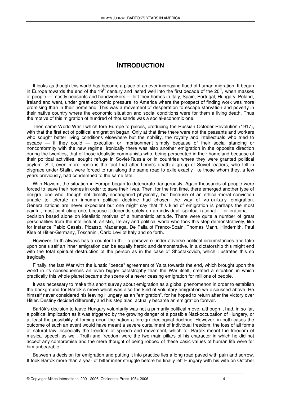### **INTRODUCTION**

It looks as though this world has become a place of an ever increasing flood of human migration. It began in Europe towards the end of the 19<sup>th</sup> century and lasted well into the first decade of the 20<sup>th</sup>, when masses of people — mostly peasants and handworkers — left their homes in Italy, Spain, Portugal, Hungary, Poland, Ireland and went, under great economic pressure, to America where the prospect of finding work was more promising than in their homeland. This was a movement of desperation to escape starvation and poverty in their native country where the economic situation and social conditions were for them a living death. Thus the motive of this migration of hundred of thousands was a social-economic one.

Then came World War I which tore Europe to pieces, producing the Russian October Revolution (1917), with that the first act of political emigration began. Only at that time there were not the peasants and workers who sought better living conditions elsewhere but the nobility, the royalty and intellectuals who tried to escape — if they could — execution or imprisonment simply because of their social standing or nonconformity with the new regime. Ironically there was also another emigration in the opposite direction during the twenties, that of those idealistic communists who, being persecuted in their homeland because of their political activities, sought refuge in Soviet-Russia or in countries where they were granted political asylum. Still, even more ironic is the fact that after Lenin's death a group of Soviet leaders, who fell in disgrace under Stalin, were forced to run along the same road to exile exactly like those whom they, a few years previously, had condemned to the same fate.

With Nazism, the situation in Europe began to deteriorate dangerously. Again thousands of people were forced to leave their homes in order to save their lives. Then, for the first time, there emerged another type of émigré: one who, though not directly endangered physically, but because of an ethical-moral conviction unable to tolerate an inhuman political doctrine had chosen the way of voluntary emigration. Generalizations are never expedient but one might say that this kind of emigration is perhaps the most painful, most conflicting one, because it depends solely on an individual, spiritual-rational — or irrational decision based alone on idealistic motives of a humanistic attitude. There were quite a number of great personalities from the intellectual, artistic, literary and political world who took this step demonstratively, like for instance Pablo Casals, Picasso, Madariaga, De Falla of Franco-Spain, Thomas Mann, Hindemith, Paul Klee of Hitler-Germany, Toscanini, Carlo Levi of Italy and so forth.

However, truth always has a counter truth. To persevere under adverse political circumstances and take upon one's self an inner emigration can be equally heroic and demonstrative. In a dictatorship this might end with the total spiritual destruction of the person as in the case of Shostakovich, which illustrates this so tragically.

Finally, the last War with the lunatic "peace" agreement of Yalta towards the end, which brought upon the world in its consequences an even bigger catastrophy than the War itself, created a situation in which practically this whole planet became the scene of a never ceasing emigration for millions of people.

It was necessary to make this short survey about emigration as a global phenomenon in order to establish the background for Bartók s move which was also the kind of voluntary emigration we discussed above. He himself never considered his leaving Hungary as an "emigration", for he hoped to return after the victory over Hitler. Destiny decided differently and his step alas, actually became an emigration forever.

Bartók's decision to leave Hungary voluntarily was not a primarily political move, although it had, in so far, a political implication as it was triggered by the growing danger of a possible Nazi-occupation of Hungary, or at least the possibility of forcing upon the nation a foreign ideological doctrine. However, in both cases the outcome of such an event would have meant a severe curtailment of individual freedom, the loss of all forms of natural law, especially the freedom of speech and movement, which for Bartók meant the freedom of musical speech as well. Truth and freedom were the two main pillars of his character in which he did not accept any compromise and the mere thought of being robbed of these basic values of human life were for him unbearable.

Between a decision for emigration and putting it into practice lies a long road paved with pain and sorrow. It took Bartók more than a year of bitter inner struggle before he finally left Hungary with his wife on October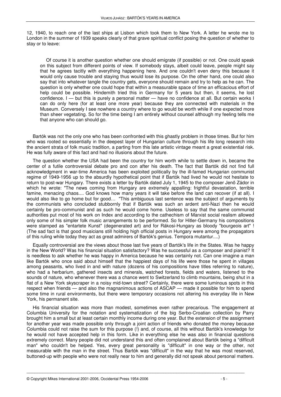12, 1940, to reach one of the last ships at Lisbon which took them to New York. A letter he wrote me to London in the summer of 1939 speaks clearly of that grave spiritual conflict posing the question of whether to stay or to leave:

Of course it is another question whether one should emigrate (if possible) or not. One could speak on this subject from different points of view. If somebody stays, albeit could leave, people might say that he agrees tacitly with everything happening here. And one couldn't even deny this because it would only cause trouble and staying thus would lose its purpose. On the other hand, one could also say that into whatever tangle the country gets, everyone should remain and try to help as he can. The question is only whether one could hope that within a measurable space of time an efficacious effort of help could be possible. Hindemith tried this in Germany for 5 years but then, it seems, he lost confidence. I — but this is purely a personal matter — have no confidence at all. But certain works I can do only here (for at least one more year) because they are connected with materials in the Museum. Conversely I see nowhere a country where to go would be worth while if one expected more than sheer vegetating. So for the time being I am entirely without counsel although my feeling tells me that anyone who can should go.

Bartók was not the only one who has been confronted with this ghastly problem in those times. But for him who was rooted so essentially in the deepest layer of Hungarian culture through his life long research into the ancient strata of folk music tradition, a parting from this late artistic vintage meant a great existential risk. He was fully aware of this fact and had no illusions about the future.

The question whether the USA had been the country for him worth while to settle down in, became the center of a futile controversial debate pro and con after his death. The fact that Bartók did not find full acknowledgment in war-time America has been exploited politically by the ill-famed Hungarian communist regime of 1949-1956 up to the absurdly hypothetical point that if Bartók had lived he would not hesitate to return to post-war Hungary. There exists a letter by Bartók dated July 1, 1945 to the composer Jenő Zádor in which he wrote: "The news coming from Hungary are extremely appalling: frightful devastation, terrible famine, menacing chaos.... God knows how many years it will take before the land can recover (if at all). I would also like to go home but for good… "This ambiguous last sentence was the subject of arguments by the communists who concluded stubbornly that if Bartók was such an ardent anti-Nazi then he would certainly be pro-communist and as such he would come home. Useless to say that the same communist authorities put most of his work on Index and according to the cathechism of Marxist social realism allowed only some of his simpler folk music arrangements to be performed. So for Hitler-Germany his compositions were stamped as "entartete Kunst" (degenerated art) and for Rákosi-Hungary as bloody "bourgeois art" ! (The sad fact is that good musicians still holding high official posts in Hungary were among the propagators of this ruling while today they act as great admirers of Bartók's genius. Tempora mutantur....)

Equally controversial are the views about those last five years of Bartók's life in the States. Was he happy in the New World? Was his financial situation satisfactory? Was he successful as a composer and pianist? It is needless to ask whether he was happy in America because he was certainly not. Can one imagine a man like Bartók who once said about himself that the happiest days of his life were those he spent in villages among peasants, who lived in and with nature (dozens of his compositions have titles referring to nature), who had a herbarium, gathered insects and minerals, watched forests, fields and waters, listened to the sounds of nature, who whenever there was a chance went to Switzerland to climb mountains, being shut in a flat of a New York skyscraper in a noisy mid-town street? Certainly, there were some luminous spots in this respect when friends — and also the magnanimous actions of ASCAP — made it possible for him to spend some time in rural environments, but there were temporary occasions not altering his everyday life in New York, his permanent site.

His financial situation was more than modest, sometimes even rather precarious. The engagement at Columbia University for the notation and systematization of the big Serbo-Croatian collection by Parry brought him a small but at least certain monthly income during one year. But the extension of the assignment for another year was made possible only through a joint action of friends who donated the money because Columbia could not raise the sum for this purpose (!) and, of course, all this without Bartók's knowledge for he would not have accepted help in this form. Like in everything else he was also in financial questions extremely correct. Many people did not understand this and often complained about Bartók being a "difficult man" who couldn't be helped. Yes, every great personality is "difficult" in one way or the other, not measurable with the man in the street. Thus Bartók was "difficult" in the way that he was most reserved, buttoned-up with people who were not really near to him and generally did not speak about personal matters.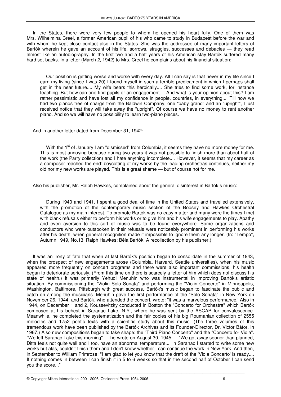In the States, there were very few people to whom he opened his heart fully. One of them was Mrs. Wilhelmina Creel, a former American pupil of his who came to study in Budapest before the war and with whom he kept close contact also in the States. She was the addressee of many important letters of Bartók wherein he gave an account of his life, sorrows, struggles, successes and debacles — they read almost like an autobiography. In the first two and a half years of his American stay Bartók suffered many hard set-backs. In a letter (March 2, 1942) to Mrs. Creel he complains about his financial situation:

Our position is getting worse and worse with every day. All I can say is that never in my life since I earn my living (since I was 20) I found myself in such a terrible predicament in which I perhaps shall get in the near future.... My wife bears this heroically.... She tries to find some work, for instance teaching. But how can one find pupils or an engagement.... And what is your opinion about this? I am rather pessimistic and have lost all my confidence in people, countries, in everything.... Till now we had two pianos free of charge from the Baldwin Company, one "baby grand" and an "upright", I just received notice that they will take away the "upright". Of course we have no money to rent another piano. And so we will have no possibility to learn two-piano pieces.

And in another letter dated from December 31, 1942:

With the  $1<sup>st</sup>$  of January I am "dismissed" from Columbia, it seems they have no more money for me. This is most annoying because during two years it was not possible to finish more than about half of the work (the Parry collection) and I hate anything incomplete.... However, it seems that my career as a composer reached the end: boycotting of my works by the leading orchestras continues, neither my old nor my new works are played. This is a great shame — but of course not for me.

Also his publisher, Mr. Ralph Hawkes, complained about the general disinterest in Bartók s music:

During 1940 and 1941, I spent a good deal of time in the United States and travelled extensively, with the promotion of the contemporary music section of the Boosey and Hawkes Orchestral Catalogue as my main interest. To promote Bartók was no easy matter and many were the times I met with blank refusals either to perform his works or to give him and his wife engagements to play. Apathy and even aversion to this sort of music was to be found everywhere. Some organizations and conductors who were outspoken in their refusals were noticeably prominent in performing his works after his death, when general recognition made it impossible to ignore them any longer. (In: "Tempo", Autumn 1949, No.13, Ralph Hawkes: Béla Bartók. A recollection by his publisher.)

It was an irony of fate that when at last Bartók's position began to consolidate in the summer of 1943, when the prospect of new engagements arose (Columbia, Harvard, Seattle universities), when his music appeared more frequently on concert programs and there were also important commissions, his health began to deteriorate seriously. (From this time on there is scarcely a letter of him which does not discuss his state of health.) It was primarily Yehudi Menuhin who was instrumental in improving Bartók's artistic situation. By commissioning the "Violin Solo Sonata" and performing the "Violin Concerto" in Minneapolis, Washington, Baltimore, Pittsburgh with great success, Bartók's music began to fascinate the public and catch on among the musicians. Menuhin gave the first performance of the "Solo Sonata" in New York on November 26, 1944, and Bartók, who attended the concert, wrote: "it was a marvelous performance.' Also in 1944, on December 1 and 2, Koussevitzky conducted in Boston the "Concerto for Orchestra" which Bartók composed at his behest in Saranac Lake, N.Y., where he was sent by the ASCAP for convalescence. Meanwhile, he completed the systematization and the fair copies of his big Roumanian collection of 2555 melodies and 1752 poetic texts with a scientific study about this music. (The three volumes of this tremendous work have been published by the Bartók Archives and its Founder-Director, Dr. Victor Bátor, in 1967.) Also new compositions began to take shape: the "Third Piano Concerto" and the "Concerto for Viola". "We left Saranac Lake this morning" — he wrote on August 30, 1945 — "We got away sooner than planned, Ditta feels not quite well and I too, have an abnormal temperature.... In Saranac I started to write some new works but alas, couldn't finish them and I don't know whether I can continue the work in New York. And then, in September to William Primrose: "I am glad to let you know that the draft of the 'Viola Concerto' is ready.... If nothing comes in between I can finish it in 5 to 6 weeks so that in the second half of October I can send you the score..."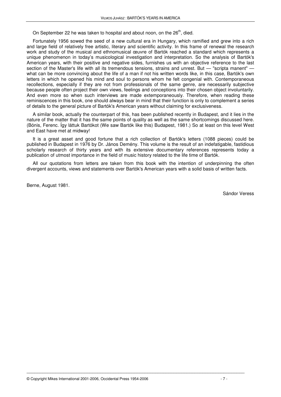On September 22 he was taken to hospital and about noon, on the  $26<sup>th</sup>$ , died.

Fortunately 1956 sowed the seed of a new cultural era in Hungary, which ramified and grew into a rich and large field of relatively free artistic, literary and scientific activity. In this frame of renewal the research work and study of the musical and ethnomusical œuvre of Bartók reached a standard which represents a unique phenomenon in today's musicological investigation and interpretation. So the analysis of Bartók's American years, with their positive and negative sides, furnishes us with an objective reference to the last section of the Master's life with all its tremendous tensions, strains and unrest. But — "scripta manent" what can be more convincing about the life of a man if not his written words like, in this case, Bartók's own letters in which he opened his mind and soul to persons whom he felt congenial with. Contemporaneous recollections, especially if they are not from professionals of the same genre, are necessarily subjective because people often project their own views, feelings and conceptions into their chosen object involuntarily. And even more so when such interviews are made extemporaneously. Therefore, when reading these reminiscences in this book, one should always bear in mind that their function is only to complement a series of details to the general picture of Bartók's American years without claiming for exclusiveness.

A similar book, actually the counterpart of this, has been published recently in Budapest, and it lies in the nature of the matter that it has the same points of quality as well as the same shortcomings discussed here. (Bónis, Ferenc. Így láttuk Bartókot (We saw Bartók like this) Budapest, 1981.) So at least on this level West and East have met at midway!

It is a great asset and good fortune that a rich collection of Bartók's letters (1088 pieces) could be published in Budapest in 1976 by Dr. János Demény. This volume is the result of an indefatigable, fastidious scholarly research of thirty years and with its extensive documentary references represents today a publication of utmost importance in the field of music history related to the life time of Bartók.

All our quotations from letters are taken from this book with the intention of underpinning the often divergent accounts, views and statements over Bartók's American years with a solid basis of written facts.

\_\_\_\_\_\_\_\_\_\_\_\_\_\_\_\_\_\_\_\_\_\_\_\_\_\_\_\_\_\_\_\_\_\_\_\_\_\_\_\_\_\_\_\_\_\_\_\_\_\_\_\_\_\_\_\_\_\_\_\_\_\_\_\_\_\_\_\_\_\_\_\_\_\_\_\_\_\_\_\_\_\_\_

Berne, August 1981.

Sándor Veress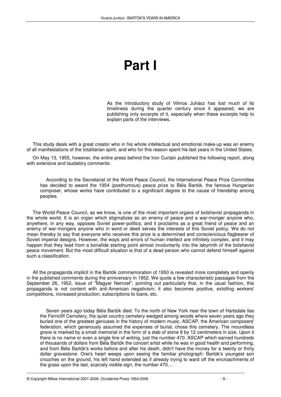# **Part I**

As the introductory study of Vilmos Juhász has lost much of its timeliness during the quarter century since it appeared, we are publishing only excerpts of it, especially when these excerpts help to explain parts of the interviews.

This study deals with a great creator who in his whole intellectual and emotional make-up was an enemy of all manifestations of the totalitarian spirit, and who for this reason spent his last years in the United States.

On May 13, 1955, however, the entire press behind the Iron Curtain published the following report, along with extensive and laudatory comments:

According to the Secretariat of the World Peace Council, the International Peace Prize Committee has decided to award the 1954 (posthumous) peace prize to Béla Bartók, the famous Hungarian composer, whose works have contributed to a significant degree to the cause of friendship among peoples.

The World Peace Council, as we know, is one of the most important organs of bolshevist propaganda in the whole world. It is an organ which stigmatizes as an enemy of peace and a war-monger anyone who, anywhere, in any way, opposes Soviet power-politics, and it proclaims as a great friend of peace and an enemy of war-mongers anyone who in word or deed serves the interests of this Soviet policy. We do not mean thereby to say that everyone who receives this prize is a determined and consciencious flagbearer of Soviet imperial designs. However, the ways and errors of human intellect are infinitely complex, and it may happen that they lead from a bonafide starting point almost involuntarily into the labyrinth of the bolshevist peace movement. But the most difficult situation is that of a dead person who cannot defend himself against such a classification.

All the propaganda implicit in the Bartók commemoration of 1950 is revealed more completely and openly in the published comments during the anniversary in 1952. We quote a few characteristic passages from the September 26, 1952, issue of "Magyar Nemzet", pointing out particularly that, in the usual fashion, this propaganda is not content with anti-American negativism; it also becomes positive, extolling workers' competitions, increased production, subscriptions to loans, etc.

Seven years ago today Béla Bartók died. To the north of New York near the town of Hartsdale lies the Ferncliff Cemetery, the quiet country cemetery wedged among woods where seven years ago they buried one of the greatest geniuses in the history of modern music. ASCAP, the American composers' federation, which generously assumed the expenses of burial, chose this cemetery. The moundless grave is marked by a small memorial in the form of a slab of stone 8 by 12 centimeters in size. Upon it there is no name or even a single line of writing, just the number 470. ASCAP which earned hundreds of thousands of dollars from Béla Bartók the concert artist while he was in good health and performing, and from Béla Bartók's works before and after his death, didn't have the money for a twenty or thirty dollar gravestone. One's heart weeps upon seeing the familiar photograph: Bartók's youngest son crouches on the ground, his left hand extended as if already trying to ward off the encroachments of the grass upon the last, scarcely visible sign, the number 470....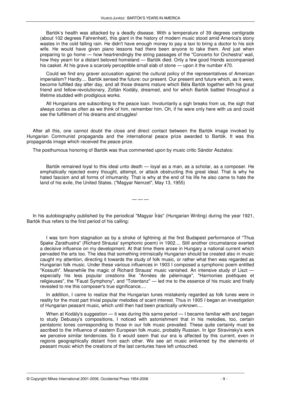Bartók's health was attacked by a deadly disease. With a temperature of 39 degrees centigrade (about 102 degrees Fahrenheit), this giant in the history of modern music stood amid America's stony wastes in the cold falling rain. He didn't have enough money to pay a taxi to bring a doctor to his sick wife. He would have given piano lessons had there been anyone to take them. And just when preparing to go home — how heartrendingly the string passages of the "Concerto for Orchestra" wail, how they yearn for a distant beloved homeland — Bartók died. Only a few good friends accompanied his casket. At his grave a scarcely perceptible small slab of stone — upon it the number 470.

Could we find any graver accusation against the cultural policy of the representatives of American imperialism? Hardly.... Bartók sensed the future: our present. Our present and future which, as it were, become fulfilled day after day, and all those dreams mature which Béla Bartók together with his great friend and fellow-revolutionary, Zoltán Kodály, dreamed, and for which Bartók battled throughout a lifetime studded with prodigious works.

All Hungarians are subscribing to the peace loan. Involuntarily a sigh breaks from us, the sigh that always comes as often as we think of him, remember him. Oh, if he were only here with us and could see the fulfillment of his dreams and struggles!

After all this, one cannot doubt the close and direct contact between the Bartók image invoked by Hungarian Communist propaganda and the international peace prize awarded to Bartók. It was this propaganda image which received the peace prize.

The posthumous honoring of Bartók was thus commented upon by music critic Sándor Asztalos:

Bartók remained loyal to this ideal unto death — loyal as a man, as a scholar, as a composer. He emphatically rejected every thought, attempt, or attack obstructing this great ideal. That is why he hated fascism and all forms of inhumanity. That is why at the end of his life he also came to hate the land of his exile, the United States. ("Magyar Nemzet", May 13, 1955)

In his autobiography published by the periodical "Magyar Írás" (Hungarian Writing) during the year 1921, Bartók thus refers to the first period of his calling:

— — —

I was torn from stagnation as by a stroke of lightning at the first Budapest performance of "Thus Spake Zarathustra" (Richard Strauss' symphonic poem) in 1902.... Still another circumstance exerted a decisive influence on my development. At that time there arose in Hungary a national current which pervaded the arts too. The idea that something intrinsically Hungarian should be created also in music caught my attention, directing it towards the study of folk music, or rather what then was regarded as Hungarian folk music. Under these various influences in 1903 I composed a symphonic poem entitled "Kossuth". Meanwhile the magic of Richard Strauss' music vanished. An intensive study of Liszt especially his less popular creations like "Années de pélerinage", "Harmonies poétiques et religieuses", the "Faust Symphony", and "Totentanz" — led me to the essence of his music and finally revealed to me this composer's true significance....

In addition, I came to realize that the Hungarian tunes mistakenly regarded as folk tunes were in reality for the most part trivial popular melodies of scant interest. Thus in 1905 I began an investigation of Hungarian peasant music, which until then had been practically unknown....

When at Kodály's suggestion — it was during this same period — I became familiar with and began to study Debussy's compositions, I noticed with astonishment that in his melodies, too, certain pentatonic tones corresponding to those in our folk music prevailed. These quite certainly must be ascribed to the influence of eastern European folk music, probably Russian. In Igor Stravinsky's work we perceive similar tendencies. So it would seem that our era is affected by this current, even in regions geographically distant from each other. We see art music enlivened by the elements of peasant music which the creations of the last centuries have left untouched.

\_\_\_\_\_\_\_\_\_\_\_\_\_\_\_\_\_\_\_\_\_\_\_\_\_\_\_\_\_\_\_\_\_\_\_\_\_\_\_\_\_\_\_\_\_\_\_\_\_\_\_\_\_\_\_\_\_\_\_\_\_\_\_\_\_\_\_\_\_\_\_\_\_\_\_\_\_\_\_\_\_\_\_

© Copyright Mikes International 2001-2006, Occidental Press 1954-2006 - 9 -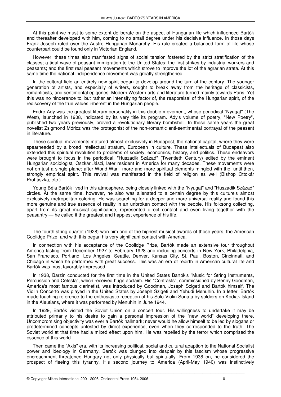At this point we must to some extent deliberate on the aspect of Hungarian life which influenced Bartók and thereafter developed with him, coming to no small degree under his decisive influence. In those days Franz Joseph ruled over the Austro Hungarian Monarchy. His rule created a balanced form of life whose counterpart could be found only in Victorian England.

However, these times also manifested signs of social tension fostered by the strict stratification of the classes; a tidal wave of peasant immigration to the United States; the first strikes by industrial workers and peasants; and the first real peasant movements which strove to improve the lot of the agrarian strata. At this same time the national independence movement was greatly strengthened.

In the cultural field an entirely new spirit began to develop around the turn of the century. The younger generation of artists, and especially of writers, sought to break away from the heritage of classicists, romanticists, and sentimental epigones. Modern Western arts and literature turned mainly towards Paris. Yet this was no hinderance to, but rather an intensifying factor of, the reappraisal of the Hungarian spirit, of the rediscovery of the true values inherent in the Hungarian people.

Endre Ady was the greatest literary personality in this double movement, whose periodical "Nyugat" (The West), launched in 1908, indicated by its very title its program. Ady's volume of poetry, "New Poetry", published two years previously, proved a revolutionary literary bombshell. In these same years the great novelist Zsigmond Móricz was the protagonist of the non-romantic anti-sentimental portrayal of the peasant in literature.

These spiritual movements matured almost exclusively in Budapest, the national capital, where they were spearheaded by a broad intellectual stratum, European in culture. These intellectuals of Budapest also extended this spiritual revolution to problems of society, economics, history, and politics. These endeavors were brought to focus in the periodical, "Huszadik Század" (Twentieth Century) edited by the eminent Hungarian sociologist, Oszkár Jászi, later resident in America for many decades. These movements were not on just a single plane; after World War I more and more spiritual elements mingled with the, until then, strongly empirical spirit. This revival was manifested in the field of religion as well (Bishop Ottokár Prohászka, etc.).

Young Béla Bartók lived in this atmosphere, being closely linked with the "Nyugat" and "Huszadik Század" circles. At the same time, however, he also was alienated to a certain degree by this culture's almost exclusively metropolitan coloring. He was searching for a deeper and more universal reality and found this more genuine and true essence of reality in an unbroken contact with the people. His folksong collecting, apart from its great musical significance, represented direct contact and even living together with the peasantry — he called it the greatest and happiest experience of his life.

The fourth string quartet (1928) won him one of the highest musical awards of those years, the American Coolidge Prize, and with this began his very significant contact with America.

In connection with his acceptance of the Coolidge Prize, Bartók made an extensive tour throughout America lasting from December 1927 to February 1928 and including concerts in New York, Philadelphia, San Francisco, Portland, Los Angeles, Seattle, Denver, Kansas City, St. Paul, Boston, Cincinnati, and Chicago in which he performed with great success. This was an era of rebirth in American cultural life and Bartók was most favorably impressed.

In 1938, Barzin conducted for the first time in the United States Bartók's "Music for String Instruments, Percussion and Celesta", which received huge acclaim. His "Contrasts", commissioned by Benny Goodman, America's most famous clarinetist, was introduced by Goodman, Joseph Szigeti and Bartók himself. The Violin Concerto was played in the United States by Joseph Szigeti and Yehudi Menuhin. In a letter, Bartók made touching reference to the enthusiastic reception of his Solo Violin Sonata by soldiers on Kodiak Island in the Aleutians, where it was performed by Menuhin in June 1944.

In 1929, Bartók visited the Soviet Union on a concert tour. His willingness to undertake it may be attributed primarily to his desire to gain a personal impression of the "new world" developing there. Uncompromising objectivity was ever a Bartók hallmark; never would he allow himself to be led by slogans or predetermined concepts untested by direct experience, even when they corresponded to the truth. The Soviet world at that time had a mixed effect upon him. He was repelled by the terror which comprised the essence of this world....

Then came the "Axis" era, with its increasing political, social and cultural adaption to the National Socialist power and ideology in Germany. Bartók was plunged into despair by this fascism whose progressive encroachment threatened Hungary not only physically but spiritually. From 1938 on, he considered the prospect of fleeing this tyranny. His second journey to America (April-May 1940) was instinctively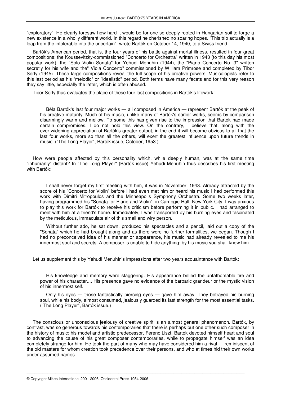"exploratory". He clearly foresaw how hard it would be for one so deeply rooted in Hungarian soil to forge a new existence in a wholly different world. In this regard he cherished no soaring hopes. "This trip actually is a leap from the intolerable into the uncertain", wrote Bartók on October 14, 1940, to a Swiss friend....

Bartók's American period, that is, the four years of his battle against mortal illness, resulted in four great compositions: the Koussevitzky-commissioned "Concerto for Orchestra" written in 1943 (to this day his most popular work), the "Solo Violin Sonata" for Yehudi Menuhin (1944), the "Piano Concerto No. 3" written secretly for his wife and the" Viola Concerto" commissioned by William Primrose and completed by Tibor Serly (1945). These large compositions reveal the full scope of his creative powers. Musicologists refer to this last period as his "melodic" or "idealistic" period. Both terms have many facets and for this very reason they say little, especially the latter, which is often abused.

Tibor Serly thus evaluates the place of these four last compositions in Bartók's lifework:

Béla Bartók's last four major works — all composed in America — represent Bartók at the peak of his creative maturity. Much of his music, unlike many of Bartók's earlier works, seems by comparison disarmingly warm and mellow. To some this has given rise to the impression that Bartók had made certain compromises. I do not hold this view. On the contrary, I believe that, along with the ever-widening appreciation of Bartók's greater output, in the end it will become obvious to all that the last four works, more so than all the others, will exert the greatest influence upon future trends in music. ("The Long Player", Bartók issue, October, 1953.)

How were people affected by this personality which, while deeply human, was at the same time "inhumanly" distant? In "The Long Player" (Bartók issue) Yehudi Menuhin thus describes his first meeting with Bartók:

I shall never forget my first meeting with him, it was in November, 1943. Already attracted by the score of his "Concerto for Violin" before I had even met him or heard his music I had performed this work with Dimitri Mitropoulos and the Minneapolis Symphony Orchestra. Some two weeks later, having programmed his "Sonata for Piano and Violin", in Carnegie Hall, New York City, I was anxious to play this work for Bartók to receive his criticism before performing it in public. I had arranged to meet with him at a friend's home. Immediately, I was transported by his burning eyes and fascinated by the meticulous, immaculate air of this small and wiry person.

Without further ado, he sat down, produced his spectacles and a pencil, laid out a copy of the "Sonata" which he had brought along and as there were no further formalities, we began. Though I had no preconceived idea of his manner or appearance, his music had already revealed to me his innermost soul and secrets. A composer is unable to hide anything: by his music you shall know him.

Let us supplement this by Yehudi Menuhin's impressions after two years acquaintance with Bartók:

His knowledge and memory were staggering. His appearance belied the unfathomable fire and power of his character.... His presence gave no evidence of the barbaric grandeur or the mystic vision of his innermost self.

Only his eyes — those fantastically piercing eyes — gave him away. They betrayed his burning soul, while his body, almost consumed, jealously guarded its last strength for the most essential tasks. ("The Long Player", Bartók issue.)

The conscious or unconscious jealousy of creative spirit is an almost general phenomenon. Bartók, by contrast, was so generous towards his contemporaries that there is perhaps but one other such composer in the history of music: his model and artistic predecessor, Ferenc Liszt. Bartók devoted himself heart and soul to advancing the cause of his great composer contemporaries, while to propagate himself was an idea completely strange for him. He took the part of many who may have considered him a rival — reminiscent of the old masters for whom creation took precedence over their persons, and who at times hid their own works under assumed names.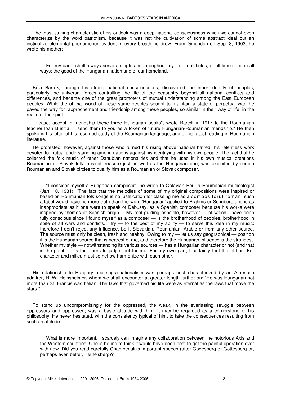The most striking characteristic of his outlook was a deep national consciousness which we cannot even characterize by the word patriotism, because it was not the cultivation of some abstract ideal but an instinctive elemental phenomenon evident in every breath he drew. From Gmunden on Sep. 8, 1903, he wrote his mother:

For my part I shall always serve a single aim throughout my life, in all fields, at all times and in all ways: the good of the Hungarian nation and of our homeland.

Béla Bartók, through his strong national consciousness, discovered the inner identity of peoples, particularly the universal forces controlling the life of the peasantry beyond all national conflicts and differences, and became one of the great promoters of mutual understanding among the East European peoples. While the official world of these same peoples sought to maintain a state of perpetual war, he paved the way for rapprochement and friendship among these peoples, so similar in their way of life, in the realm of the spirit.

"Please, accept in friendship these three Hungarian books", wrote Bartók in 1917 to the Roumanian teacher loan Busitia. "I send them to you as a token of future Hungarian-Roumanian friendship." He then spoke in his letter of his resumed study of the Roumanian language, and of his latest reading in Roumanian literature.

He protested, however, against those who turned his rising above national hatred, his relentless work devoted to mutual understanding among nations against his identifying with his own people. The fact that he collected the folk music of other Danubian nationalities and that he used in his own musical creations Roumanian or Slovak folk musical treasure just as well as the Hungarian one, was exploited by certain Roumanian and Slovak circles to qualify him as a Roumanian or Slovak composer.

"I consider myself a Hungarian composer", he wrote to Octavian Beu, a Roumanian musicologist (Jan. 10, 1931), "The fact that the melodies of some of my original compositions were inspired or based on Roumanian folk songs is no justification for classing me as a compositorul roman, such a label would have no more truth than the word 'Hungarian' applied to Brahms or Schubert, and is as inappropriate as if one were to speak of Debussy, as a Spanish composer because his works were inspired by themes of Spanish origin.... My real guiding principle, however — of which I have been fully conscious since I found myself as a composer — is the brotherhood of peoples, brotherhood in spite of all wars and conflicts. I try  $-$  to the best of my ability  $-$  to serve this idea in my music: therefore I don't reject any influence, be it Slovakian, Roumanian, Arabic or from any other source. The source must only be clean, fresh and healthy! Owing to  $my$  — let us say geographical — position it is the Hungarian source that is nearest of me, and therefore the Hungarian influence is the strongest. Whether my style — notwithstanding its various sources — has a Hungarian character or not (and that is the point) — is for others to judge, not for me. For my own part, I certainly feel that it has. For character and milieu must somehow harmonize with each other.

His relationship to Hungary and supra-nationalism was perhaps best characterized by an American admirer, H. W. Heinsheimer, whom we shall encounter at greater length further on: "He was Hungarian not more than St. Francis was Italian. The laws that governed his life were as eternal as the laws that move the stars."

To stand up uncompromisingly for the oppressed, the weak, in the everlasting struggle between oppressors and oppressed, was a basic attitude with him. It may be regarded as a cornerstone of his philosophy. He never hesitated, with the consistency typical of him, to take the consequences resulting from such an attitude.

\_\_\_\_\_\_\_\_\_\_\_\_\_\_\_\_\_\_\_\_\_\_\_\_\_\_\_\_\_\_\_\_\_\_\_\_\_\_\_\_\_\_\_\_\_\_\_\_\_\_\_\_\_\_\_\_\_\_\_\_\_\_\_\_\_\_\_\_\_\_\_\_\_\_\_\_\_\_\_\_\_\_\_

What is more important, I scarcely can imagine any collaboration between the notorious Axis and the Western countries. One is bound to think it would have been best to get the painful operation over with now. Did you read carefully Chamberlain's important speech (after Godesberg or Gottesberg or, perhaps even better, Teufelsberg)?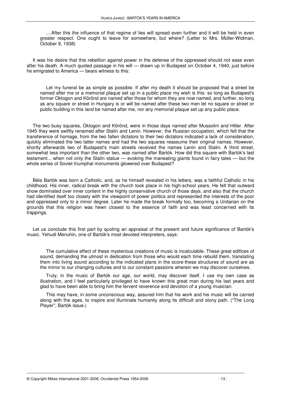....After this the influence of that regime of lies will spread even further and it will be held in even greater respect. One ought to leave for somewhere, but where? (Letter to Mrs. Müller-Widman, October 9, 1938)

It was his desire that this rebellion against power in the defense of the oppressed should not ease even after his death. A much quoted passage in his will — drawn up in Budapest on October 4, 1940, just before he emigrated to America — bears witness to this:

Let my funeral be as simple as possible. If after my death it should be proposed that a street be named after me or a memorial plaque set up in a public place my wish is this: so long as Budapest's former Oktogon and Körönd are named after those for whom they are now named, and further, so long as any square or street in Hungary is or will be named after these two men let no square or street or public building in this land be named after me, nor any memorial plaque set up any public place.

The two busy squares, Oktogon and Körönd, were in those days named after Mussolini and Hitler. After 1945 they were swiftly renamed after Stalin and Lenin. However, the Russian occupation, which felt that the transference of homage, from the two fallen dictators to their two dictators indicated a lack of consideration, quickly eliminated the two latter names and had the two squares reassume their original names. However, shortly afterwards two of Budapest's main streets received the names Lenin and Stalin. A third street, somewhat less important than the other two, was named after Bartók. How did this square with Bartók's last testament... when not only the Stalin statue — evoking the maneating giants found in fairy tales — but the whole series of Soviet triumphal monuments glowered over Budapest?

Béla Bartók was born a Catholic, and, as he himself revealed in his letters, was a faithful Catholic in his childhood. His inner, radical break with the church took place in his high-school years. He felt that outward show dominated over inner content in the highly conservative church of those days, and also that the church had identified itself too closely with the viewpoint of power politics and represented the interests of the poor and oppressed only to a minor degree. Later he made the break formally too, becoming a Unitarian on the grounds that this religion was hewn closest to the essence of faith and was least concerned with its trappings.

Let us conclude this first part by quoting an appraisal of the present and future significance of Bartók's music. Yehudi Menuhin, one of Bartók's most devoted interpreters, says:

The cumulative effect of these mysterious creations of music is incalculable. These great edifices of sound, demanding the utmost in dedication from those who would each time rebuild them, translating them into living sound according to the indicated plans in the score-these structures of sound are as the mirror to our changing cultures and to our constant passions wherein we may discover ourselves.

Truly, in the music of Bartók our age, our world, may discover itself. I use my own case as illustration, and I feel particularly privileged to have known this great man during his last years and glad to have been able to bring him the fervent reverence and devotion of a young musician.

This may have, in some unconscious way, assured him that his work and his music will be carried along with the ages, to inspire and illuminate humanity along its difficult and stony path. ("The Long Player", Bartók issue.)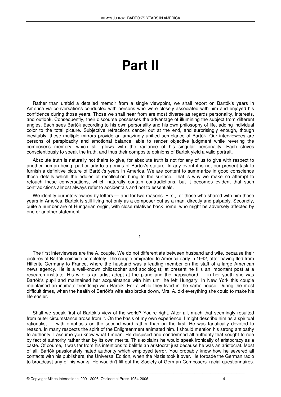# **Part II**

Rather than unfold a detailed memoir from a single viewpoint, we shall report on Bartók's years in America via conversations conducted with persons who were closely associated with him and enjoyed his confidence during those years. Those we shall hear from are most diverse as regards personality, interests, and outlook. Consequently, their discourse possesses the advantage of illumining the subject from different angles. Each sees Bartók according to his own personality and his own philosophy of life, adding individual color to the total picture. Subjective refractions cancel out at the end, and surprisingly enough, though inevitably, these multiple mirrors provide an amazingly unified semblance of Bartók. Our interviewees are persons of perspicacity and emotional balance, able to render objective judgment while revering the composer's memory, which still glows with the radiance of his singular personality. Each strives conscientiously to speak the truth, and thus their composite opinions of Bartók yield a valid portrait.

Absolute truth is naturally not theirs to give, for absolute truth is not for any of us to give with respect to another human being, particularly to a genius of Bartók's stature. In any event it is not our present task to furnish a definitive picture of Bartók's years in America. We are content to summarize in good conscience those details which the eddies of recollection bring to the surface. That is why we make no attempt to retouch these conversations, which naturally contain contradictions, but it becomes evident that such contradictions almost always refer to accidentals and not to essentials.

We identify our interviewees by letters — and for two reasons. First, for those who shared with him those years in America, Bartók is still living not only as a composer but as a man, directly and palpably. Secondly, quite a number are of Hungarian origin, with close relatives back home, who might be adversely affected by one or another statement.

1.

The first interviewees are the A. couple. We do not differentiate between husband and wife, because their pictures of Bartók coincide completely. The couple emigrated to America early in 1942, after having fled from Hitlerite Germany to France, where the husband was a leading member on the staff of a large American news agency. He is a well-known philosopher and sociologist; at present he fills an important post at a research institute. His wife is an artist adept at the piano and the harpsichord — in her youth she was Bartók's pupil and maintained her acquaintance with him until he left Hungary. In New York this couple maintained an intimate friendship with Bartók. For a while they lived in the same house. During the most difficult times, when the health of Bartók's wife also broke down, Mrs. A. did everything she could to make his life easier.

Shall we speak first of Bartók's view of the world? You're right. After all, much that seemingly resulted from outer circumstance arose from it. On the basis of my own experience, I might describe him as a spiritual rationalist — with emphasis on the second word rather than on the first. He was fanatically devoted to reason. In many respects the spirit of the Enlightenment animated him. I should mention his strong antipathy to authority. I assume you know what I mean. He despised and condemned all authority that sought to rule by fact of authority rather than by its own merits. This explains he would speak ironically of aristocracy as a caste. Of course, it was far from his intentions to belittle an aristocrat just because he was an aristocrat. Most of all, Bartók passionately hated authority which employed terror. You probably know how he severed all contacts with his publishers, the Universal Edition, when the Nazis took it over. He forbade the German radio to broadcast any of his works. He wouldn't fill out the Society of German Composers' racial questionnaires.

\_\_\_\_\_\_\_\_\_\_\_\_\_\_\_\_\_\_\_\_\_\_\_\_\_\_\_\_\_\_\_\_\_\_\_\_\_\_\_\_\_\_\_\_\_\_\_\_\_\_\_\_\_\_\_\_\_\_\_\_\_\_\_\_\_\_\_\_\_\_\_\_\_\_\_\_\_\_\_\_\_\_\_

© Copyright Mikes International 2001-2006, Occidental Press 1954-2006 - 14 -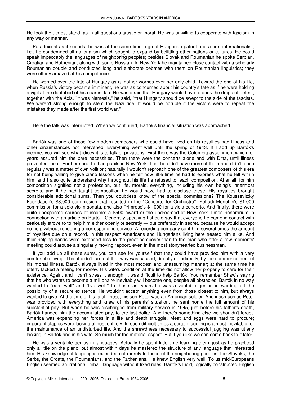He took the utmost stand, as in all questions artistic or moral. He was unwilling to cooperate with fascism in any way or manner.

Paradoxical as it sounds, he was at the same time a great Hungarian patriot and a firm internationalist, i.e., he condemned all nationalism which sought to expand by belittling other nations or cultures. He could speak impeccably the languages of neighboring peoples; besides Slovak and Roumanian he spoke Serbian, Croatian and Ruthenian, along with some Russian. In New York he maintained close contact with a scholarly Roumanian couple and conducted long and elaborate debates with them on Roumanian linguistics; they were utterly amazed at his competence.

He worried over the fate of Hungary as a mother worries over her only child. Toward the end of his life, when Russia's victory became imminent, he was as concerned about his country's fate as if he were holding a vigil at the deathbed of his nearest kin. He was afraid that Hungary would have to drink the dregs of defeat, together with the Axis. "It was Nemesis," he said, "that Hungary should be swept to the side of the fascists. We weren't strong enough to stem the Nazi tide. It would be horrible if the victors were to repeat the mistakes they made after the first world war."

Here the talk was interrupted. When we continued, Bartók's financial situation was approached.

Bartók was one of those few modern composers who could have lived on his royalties had illness and other circumstances not intervened. Everything went well until the spring of 1943. If I add up Bartók's income, you will see what idiocy it is to talk of privations. First there was the Columbia assignment which for years assured him the bare necessities. Then there were the concerts alone and with Ditta, until illness prevented them. Furthermore, he had pupils in New York. That he didn't have more of them and didn't teach regularly was a matter of own volition; naturally I wouldn't reproach one of the greatest composers of this era for not being willing to give piano lessons when he felt how little time he had to express what he felt within him; and I also quite understand why throughout his life he refused to teach composition. After all, for him composition signified not a profession, but life, morals, everything, including his own being's innermost secrets, and if he had taught composition he would have had to disclose these. His royalties brought considerable additional sums. Then you doubtless know of the special commissions? The Koussevitzky Foundation's \$3,000 commission that resulted in the "Concerto for Orchestra", Yehudi Menuhin's \$1,000 commission for a solo violin sonata, and also Primrose's \$1,000 for a viola concerto. And finally, there were quite unexpected sources of income: a \$500 award or the undreamed of New York Times honorarium in connection with an article on Bartók. Generally speaking I should say that everyone he came in contact with zealously strove to to help him either openly or secretly — but preferably in secret, because he would accept no help without rendering a corresponding service. A recording company sent him several times the amount of royalties due on a record. In this respect Americans and Hungarians living here treated him alike. And their helping hands were extended less to the great composer than to the man who after a few moments' meeting could arouse a singularly moving rapport, even in the most stonyhearted businessman.

If you add up all these sums, you can see for yourself that they could have provided him with a very comfortable living. That it didn't turn out that way was caused, directly or indirectly, by the commencement of his mortal illness. Bartók always lived in the most modest and unassuming manner; at the same time he utterly lacked a feeling for money. His wife's condition at the time did not allow her properly to care for their existence. Again, and I can't stress it enough: it was difficult to help Bartók. You remember Shaw's saying that he who wants to become a millionaire inevitably will become one, despite all obstacles. Bartók in no way wanted to "earn well" and "live well." In those last years he was a veritable genius in warding off the possibility of a secure existence. He wouldn't accept anything even from those closest to him, but always wanted to give. At the time of his fatal illness, his son Peter was an American soldier. And inasmuch as Peter was provided with everything and knew of his parents' situation, he sent home the full amount of his substantial pay. But when he was discharged from military service in 1945, just before his father's death, Bartók handed him the accumulated pay, to the last dollar. And there's something else we shouldn't forget. America was expending her forces in a life and death struggle. Meat and eggs were hard to procure; important staples were lacking almost entirely. In such difficult times a certain juggling is almost inevitable for the maintenance of an undisturbed life. And the shrewdness necessary to successful juggling was utterly lacking in Bartók and in his wife. So much for the material aspect. But if you like we can come back to it later.

He was a veritable genius in languages. Actually he spent little time learning them, just as he practiced only a little on the piano; but almost within days he mastered the structure of any language that interested him. His knowledge of languages extended not merely to those of the neighboring peoples, the Slovaks, the Serbs, the Croats, the Roumanians, and the Ruthenians. He knew English very well. To us mid-Europeans English seemed an irrational "tribal" language without fixed rules. Bartók's lucid, logically constructed English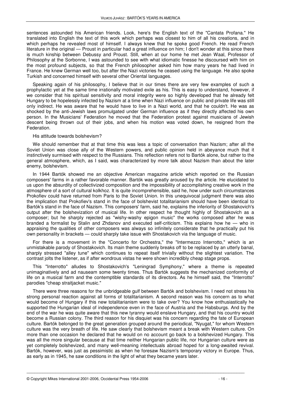sentences astounded his American friends. Look, here's the English text of the "Cantata Profana." He translated into English the text of this work which perhaps was closest to him of all his creations, and in which perhaps he revealed most of himself. I always knew that he spoke good French. He read French literature in the original — Proust in particular had a great influence on him; I don't wonder at this since there is much kinship between Debussy and Proust. Still, when at our home he met Jean Waal, Professor of Philosophy at the Sorbonne, I was astounded to see with what idiomatic finesse he discoursed with him on the most profound subjects, so that the French philosopher asked him how many years he had lived in France. He knew German well too, but after the Nazi victories he ceased using the language. He also spoke Turkish and concerned himself with several other Oriental languages.

Speaking again of his philosophy, I believe that in our times there are very few examples of such a prophylactic yet at the same time irrationally motivated exile as his. This is easy to understand, however, if we consider that his spiritual sensitivity and moral integrity were so highly developed that he already felt Hungary to be hopelessly infected by Nazism at a time when Nazi influence on public and private life was still only indirect. He was aware that he would have to live in a Nazi world, and that he couldn't. He was as shocked by the anti-Jewish laws promulgated under German influence as if they directly affected his own person. In the Musicians' Federation he moved that the Federation protest against musicians of Jewish descent being thrown out of their jobs, and when his motion was voted down, he resigned from the Federation.

#### His attitude towards bolshevism?

We should remember that at that time this was less a topic of conversation than Nazism; after all the Soviet Union was close ally of the Western powers, and public opinion held in abeyance much that it instinctively surmised with respect to the Russians. This reflection refers not to Bartók alone, but rather to the general atmosphere, which, as I said, was characterized by more talk about Nazism than about the later enemy, bolshevism.

In 1944 Bartók showed me an objective American magazine article which reported on the Russian composers' farms in a rather favorable manner. Bartók was greatly aroused by the article. He elucidated to us upon the absurdity of collectivized composition and the impossibility of accomplishing creative work in the atmosphere of a sort of cultural kolkhoz. It is quite incomprehensible, said he, how under such circumstances Prokofiev could have returned from Paris to the Soviet Union. In this unequivocal judgment there was also the implication that Prokofiev's stand in the face of bolshevist totalitarianism should have been identical to Bartók's stand in the face of Nazism. This composers' farm, said he, explains the inferiority of Shostakovich's output after the bolshevization of musical life. In other respect he thought highly of Shostakovich as a composer; but he sharply rejected as "wishy-washy epigon music" the works composed after he was branded a formalist by Stalin and Zhdanov and executed self-criticism. This explains how he — who in appraising the qualities of other composers was always so infinitely considerate that he practically put his own personality in brackets — could sharply take issue with Shostakovich via the language of music.

For there is a movement in the "Concerto for Orchestra," the "Intermezzo Interrotto," which is an unmistakable parody of Shostakovich. Its main theme suddenly breaks off to be replaced by an utterly banal, sharply stressed "alley tune" which continues to repeat itself trivially without the slightest variation. The contrast jolts the listener, as if after wondrous vistas he were shown incredibly cheap stage props.

This "Interrotto" alludes to Shostakovich's "Leningrad Symphony," where a theme is repeated unimaginatively and ad nauseam some twenty times. Thus Bartók suggests the mechanized conformity of life on a musical farm and the contemptible standards of its directors. As he himself said, the "Interrotto" parodies "cheap straitjacket music."

There were three reasons for the unbridgeable gulf between Bartók and bolshevism. I need not stress his strong personal reaction against all forms of totalitarianism. A second reason was his concern as to what would become of Hungary if this new totalitarianism were to take over? You know how enthusiastically he supported the Hungarian ideal of independence even in the face of Austria and the Habsburgs. And by the end of the war he was quite aware that this new tyranny would enslave Hungary, and that his country would become a Russian colony. The third reason for his disquiet was his concern regarding the fate of European culture. Bartók belonged to the great generation grouped around the periodical, "Nyugat," for whom Western culture was the very breath of life. He saw clearly that bolshevism meant a break with Western culture. On more than one occasion he declared that he would on no account go back to a bolshevized Hungary. This was all the more singular because at that time neither Hungarian public life, nor Hungarian culture were as yet completely bolshevized, and many well-meaning intellectuals abroad hoped for a long-awaited revival. Bartók, however, was just as pessimistic as when he foresaw Nazism's temporary victory in Europe. Thus, as early as in 1945, he saw conditions in the light of what they became years later.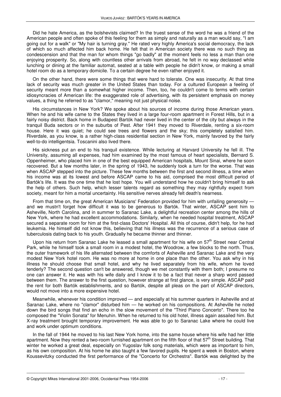Did he hate America, as the bolshevists claimed? In the truest sense of the word he was a friend of the American people and often spoke of this feeling for them as simply and naturally as a man would say, "I am going out for a walk" or "My hair is turning gray." He rated very highly America's social democracy, the lack of which so much affected him back home. He felt that in American society there was no such thing as condescension and that the man for whom things "go badly" at the moment feels no less a man than one enjoying prosperity. So, along with countless other arrivals from abroad, he felt in no way declassed while lunching or dining at the familiar automat, seated at a table with people he didn't know, or making a small hotel room do as a temporary domicile. To a certain degree he even rather enjoyed it.

On the other hand, there were some things that were hard to tolerate. One was insecurity. At that time lack of security was much greater in the United States than today. For a cultured European a feeling of security meant more than a somewhat higher income. Then, too, he couldn't come to terms with certain idiosyncracies of American life: the exaggerated role of advertising, with its persistent emphasis on money values, a thing he referred to as "clamor," meaning not just physical noise.

His circumstances in New York? We spoke about his sources of income during those American years. When he and his wife came to the States they lived in a large four-room apartment in Forest Hills, but in a fairly noisy district. Back home in Budapest Bartók had never lived in the center of the city but always in the tranquil Buda sectors or in the suburbs of Pest. After 1941 they moved to Riverdale, renting a six-room house. Here it was quiet; he could see trees and flowers and the sky; this completely satisfied him. Riverdale, as you know, is a rather high-class residential section in New York, mainly favored by the fairly well-to-do intelligentsia. Toscanini also lived there.

His sickness put an end to his tranquil existence. While lecturing at Harvard University he fell ill. The University, assuming all expenses, had him examined by the most famous of heart specialists, Bernard S. Oppenheimer, who placed him in one of the best equipped American hospitals, Mount Sinai, where he soon recovered. But a few months later, in the spring of 1943, he suddenly took a turn for the worse. That was when ASCAP stepped into the picture. These few months between the first and second illness, a time when his income was at its lowest and before ASCAP came to his aid, comprised the most difficult period of Bartók's life. It was the one time that he lost hope. You will understand how he couldn't bring himself to ask the help of others. Such help, which lesser talents regard as something they may rightfully expect from society, meant for him a mortal uncertainty. His sensitive nerves already felt death's nearness.

From that time on, the great American Musicians' Federation provided for him with unfailing generosity and we mustn't forget how difficult it was to be generous to Bartók. That winter, ASCAP sent him to Asheville, North Carolina, and in summer to Saranac Lake, a delightful recreation center among the hills of New York, where he had excellent accommodations. Similarly, when he needed hospital treatment, ASCAP secured a separate room for him at the first-class Doctors' Hospital. All this of course, didn't help, for he had leukemia. He himself did not know this, believing that his illness was the recurrence of a serious case of tuberculosis dating back to his youth. Gradually he became thinner and thinner.

Upon his return from Saranac Lake he leased a small apartment for his wife on  $57<sup>th</sup>$  Street near Central Park, while he himself took a small room in a modest hotel, the Woodrow, a few blocks to the north. Thus, the outer framework of his life alternated between the comforts of Asheville and Saranac Lake and the very modest New York hotel room. He was no more at home in one place than the other. You ask why in his illness he should choose that small hotel, and why he lived separately from his wife, whom he loved tenderly? The second question can't be answered, though we met constantly with them both; I presume no one can answer it. He was with his wife daily and I know it to be a fact that never a sharp word passed between them. The answer to the first question, however strange at first glance, is very simple. ASCAP paid the rent for both Bartók establishments, and so Bartók, despite all pleas on the part of ASCAP directors, would not move into a more expensive hotel.

Meanwhile, whenever his condition improved — and especially at his summer quarters in Asheville and at Saranac Lake, where no "clamor" disturbed him — he worked on his compositions. At Asheville he noted down the bird songs that find an echo in the slow movement of the "Third Piano Concerto". There too he composed the "Violin Sonata" for Menuhin. When he returned to his old hotel, illness again assailed him. But X-ray treatment brought temporary improvement. He was able to go to Saranac Lake where he could live and work under optimum conditions.

In the fall of 1944 he moved to his last New York home, into the same house where his wife had her little apartment. Now they rented a two-room furnished apartment on the fifth floor of that 57<sup>th</sup> Street building. That winter he worked a great deal, especially on Yugoslav folk song materials, which were as important to him, as his own composition. At his home he also taught a few favored pupils. He spent a week in Boston, where Koussevitzky conducted the first performance of the "Concerto for Orchestra". Bartók was delighted by the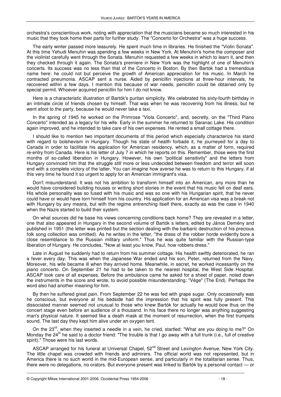orchestra's conscientious work, noting with appreciation that the musicians became so much interested in his music that they took home their parts for further study. The "Concerto for Orchestra" was a huge success.

The early winter passed more leasurely. He spent much time in libraries. He finished the "Violin Sonata". At this time Yehudi Menuhin was spending a few weeks in New York. At Menuhin's home the composer and the violinist carefully went through the Sonata. Menuhin requested a few weeks in which to learn it, and then they checked through it again. The Sonata's premiere in New York was the highlight of one of Menuhin's concerts. Its success was no less than that of the Concerto in Boston. By then Bartók had a tremendous name here: he could not but perceive the growth of American appreciation for his music. In March he contracted pneumonia. ASCAP sent a nurse. Aided by penicillin injections at three-hour intervals, he recovered within a few days. I mention this because of war needs, penicillin could be obtained only by special permit. Whoever acquired penicillin for him I do not know.

Here is a characteristic illustration of Bartók's puritan simplicity. We celebrated his sixty-fourth birthday in an intimate circle of friends chosen by himself. That was when he was recovering from his illness; but he went afoot to the party, because he would never take a taxi.

In the spring of 1945 he worked on the Primrose "Viola Concerto", and, secretly, on the "Third Piano Concerto" intended as a legacy for his wife. Early in the summer he returned to Saranac Lake. His condition again improved, and he intended to take care of his own expenses. He rented a small cottage there.

I should like to mention two important documents of this period which especially characterize his stand with regard to bolshevism in Hungary. Though his state of health forbade it, he journeyed for a day to Canada in order to facilitate his application for American residency, which, as a matter of form, required re-entry from Canada. Here is his letter of July 7 in which he reports on this. Remember, those were the first months of so-called liberation in Hungary. However, his own "political sensitivity" and the letters from Hungary convinced him that the struggle still more or less undecided between freedom and terror will soon end with a complete victory of the latter. You can imagine how averse he was to return to this Hungary, if at this very time he found it so urgent to apply for an American immigrant's visa.

Don't misunderstand. It was not his ambition to transform himself into an American, any more than he would have considered building houses or writing short stories in the event that his music fell on deaf ears. His whole personality was so fused with his music and was so one with his Hungarian spirit, that he never could have or would have torn himself from his country. His application for an American visa was a break not with Hungary by any means, but with the regime entrenching itself there, exactly as was the case in 1940 when the Nazis started to build their system.

On what sources did he base his views concerning conditions back home? They are revealed in a letter, one that also appeared in Hungary in the second volume of Bartók s letters, edited by János Demény and published in 1951 (the letter was printed but the section dealing with the barbaric destruction of his precious folk song collection was omitted). As he writes in the letter, "the dress of the robber horde evidently bore a close resemblance to the Russian military uniform." Thus he was quite familiar with the Russian-type liberation of Hungary. He concludes, "Now at least you know, Paul, how robbers dress."

Late in August he suddenly had to return from his summer cottage. His health swiftly deteriorated, he ran a fever every day. This was when the Japanese War ended and his son, Peter, returned from the Navy. Moreover, his wife became ill when they arrived home. Meanwhile, in secret, he worked incessantly on the piano concerto. On September 21 he had to be taken to the nearest hospital, the West Side Hospital. ASCAP took care of all expenses. Before the ambulance came he asked for a sheet of paper, noted down the instruments in the score and wrote, to avoid possible misunderstanding: "Vége" (The End). Perhaps the word also had another meaning for him.

By then he suffered great pain. From September 22 he was fed with grape sugar. Only occasionally was he conscious, but everyone at his bedside had the impression that his spirit was fully present. This dissociated manner seemed not unusual to those who knew Bartók for actually he would bow thus on the concert stage even before an audience of a thousand. In his face there no longer was anything suggesting man's physical nature. It seemed like a death mask at the moment of resurrection, when the first trumpets sound. The last day they kept him alive under an oxygen tent.

On the 23<sup>rd</sup>, when they inserted a needle in a vein, he cried, startled: "What are you doing to me?" On Monday the  $24^{th}$  he said to a doctor friend: "The trouble is that I go away with a full trunk (i.e., full of creative spirit)." Those were his last words.

ASCAP arranged for his funeral at Universal Chapel, 52<sup>nd</sup> Street and Lexington Avenue, New York City. The little chapel was crowded with friends and admirers. The official world was not represented, but in America there is no such world in the mid-European sense, and particularly in the totalitarian sense. Thus, there were no delegations, no orators. But everyone present was linked to Bartók by a personal contact — or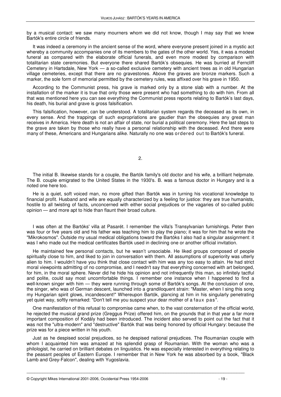by a musical contact: we saw many mourners whom we did not know, though I may say that we knew Bartók's entire circle of friends.

It was indeed a ceremony in the ancient sense of the word, where everyone present joined in a mystic act whereby a community accompanies one of its members to the gates of the other world. Yes, it was a modest funeral as compared with the elaborate official funerals, and even more modest by comparison with totalitarian state ceremonies. But everyone there shared Bartók's obsequies. He was burried at Ferncliff Cemetery in Hartsdale, New York — a so-called exclusive cemetery with ancient trees as in old Hungarian village cemeteries, except that there are no gravestones. Above the graves are bronze markers. Such a marker, the sole form of memorial permitted by the cemetery rules, was affixed over his grave in 1950.

According to the Communist press, his grave is marked only by a stone slab with a number. At the installation of the marker it is true that only those were present who had something to do with him. From all that was mentioned here you can see everything the Communist press reports relating to Bartók's last days, his death, his burial and grave is gross falsification.

This falsification, however, can be understood. A totalitarian system regards the deceased as its own, in every sense. And the trappings of such expropriations are gaudier than the obsequies any great man receives in America. Here death is not an affair of state, nor burial a political ceremony. Here the last steps to the grave are taken by those who really have a personal relationship with the deceased. And there were many of these, Americans and Hungarians alike. Naturally no one was ordered out to Bartók's funeral.

 $\mathcal{P}$ 

The initial B. likewise stands for a couple, the Bartók family's old doctor and his wife, a brilliant helpmate. The B. couple emigrated to the United States in the 1930's. B. was a famous doctor in Hungary and is a noted one here too.

He is a quiet, soft voiced man, no more gifted than Bartók was in turning his vocational knowledge to financial profit. Husband and wife are equally characterized by a feeling for justice: they are true humanists, hostile to all twisting of facts, unconcerned with either social prejudices or the vagaries of so-called public opinion — and more apt to hide than flaunt their broad culture.

I was often at the Bartóks' villa at Pasarét. I remember the villa's Transylvanian furnishings. Peter then was four or five years old and his father was teaching him to play the piano; it was for him that he wrote the "Mikrokosmos". Outside my usual medical obligations toward the Bartóks I also had a singular assignment: it was I who made out the medical certificates Bartók used in declining one or another official invitation.

He maintained few personal contacts, but he wasn't unsociable. He liked groups composed of people spiritually close to him, and liked to join in conversation with them. All assumptions of superiority was utterly alien to him. I wouldn't have you think that close contact with him was any too easy to attain. He had strict moral viewpoints admitting of no compromise, and I needn't say that everything concerned with art belonged, for him, in the moral sphere. Never did he hide his opinion and not infrequently this man, so infinitely tactful and polite, could say most uncomfortable things. I remember one instance when I happened to find a well-known singer with him — they were running through some of Bartók's songs. At the conclusion of one, the singer, who was of German descent, launched into a grandiloquent strain: "Master, when I sing this song my Hungarian spirit glows, incandescent!" Whereupon Bartók, glancing at him in his singularly penetrating yet quiet way, softly remarked: "Don't tell me you suspect your dear mother of a faux pas".

One manifestation of this refusal to compromise came when, to the vast consternation of the official world, he rejected the musical grand prize (Greggus Prize) offered him, on the grounds that in that year a far more important composition of Kodály had been introduced. The incident also served to point out the fact that it was not the "ultra-modern" and "destructive" Bartók that was being honored by official Hungary: because the prize was for a piece written in his youth.

Just as he despised social prejudices, so he despised national prejudices. The Roumanian couple with whom I acquainted him was amazed at his splendid grasp of Roumanian. With the woman who was a philologist, he carried on brilliant debates on linguistics. He was especially interested in everything relating to the peasant peoples of Eastern Europe. I remember that in New York he was absorbed by a book, "Black Lamb and Grey-Falcon", dealing with Yugoslavia.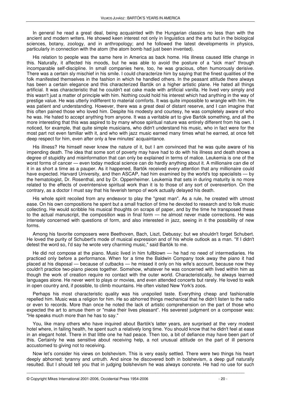In general he read a great deal, being acquainted with the Hungarian classics no less than with the ancient and modern writers. He showed keen interest not only in linguistics and the arts but in the biological sciences, botany, zoology, and in anthropology; and he followed the latest developments in physics, particularly in connection with the atom (the atom bomb had just been invented).

His relation to people was the same here in America as back home. His illness caused little change in this. Naturally, it affected his moods, but he was able to avoid the posture of a "sick man" through incomparable self-discipline. In small companies here, too, he was gracious, often humorously derisive. There was a certain sly mischief in his smile. I could characterize him by saying that the finest qualities of the folk manifested themselves in the fashion in which he handled others. In the peasant attitude there always has been a certain elegance and this characterized Bartók on a higher artistic plane. He hated all things artificial. It was characteristic that he couldn't eat cake made with artificial vanilla. He lived very simply and this wasn't just a matter of principle with him. Nothing could hold his interest which had anything in the way of prestige value. He was utterly indifferent to material comforts. It was quite impossible to wrangle with him. He was patient and understanding. However, there was a great deal of distant reserve, and I can imagine that this often pained those who loved him. Despite his modesty and courtesy, he was completely aware of who he was. He hated to accept anything from anyone. It was a veritable art to give Bartók something, and all the more interesting that this was aspired to by many whose spiritual nature was entirely different from his own. I noticed, for example, that quite simple musicians, who didn't understand his music, who in fact were for the most part not even familiar with it, and who with jazz music earned many times what he earned, at once felt deep respect for him, even after only a few minutes' acquaintance.

His illness? He himself never knew the nature of it, but I am convinced that he was quite aware of his impending death. The idea that some sort of poverty may have had to do with his illness and death shows a degree of stupidity and misinformation that can only be explained in terms of malice. Leukemia is one of the worst forms of cancer — even today medical science can do hardly anything about it. A millionaire can die of it in as short a time as a pauper. As it happened, Bartók received every attention that any millionaire could have expected. Harvard University, and then ASCAP, had him examined by the world's top specialists — by the hematologist, Dr. Rosenthal, and by Dr. Oppenheimer. Leukemia that sets in during maturity is no more related to the effects of overintensive spiritual work than it is to those of any sort of overexertion. On the contrary, as a doctor I must say that his feverish tempo of work actually delayed his death.

His whole spirit recoiled from any endeavor to play the "great man". As a rule, he created with utmost ease. On his own compositions he spent but a small fraction of time he devoted to research and to folk music collecting. He would scribble his musical thoughts on scraps of paper, and by the time he transposed these to the actual manuscript, the composition was in final form — he almost never made corrections. He was intensely concerned with questions of form, and also interested in jazz, seeing in it the possibility of new forms.

Among his favorite composers were Beethoven, Bach, Liszt, Debussy; but we shouldn't forget Schubert. He loved the purity of Schubert's mode of musical expression and of his whole outlook as a man. "If I didn't detest the word so, I'd say he wrote very charming music," said Bartók to me.

He did not compose at the piano. Music lived in him fullblown — he had no need of intermediaries. He practiced only before a performance. When for a time the Baldwin Company took away the piano it had placed at his disposal — because of cutbacks — he missed it only on his wife's account, because now they couldn't practice two-piano pieces together. Somehow, whatever he was concerned with lived within him as though the work of creation require no contact with the outer world. Characteristically, he always learned languages alone. He never went to plays or movies, and even attended concerts but rarely. He loved to walk in open country and, if possible, to climb mountains. He often visited New York's zoos.

Perhaps his most characteristic quality was his unspoiled taste. Everything cheap and fashionable repelled him. Music was a religion for him. He so abhorred things mechanical that he didn't listen to the radio or even to records. More than once he noted the lack of artistic comprehension on the part of those who expected the art to amuse them or "make their lives pleasant". His severest judgment on a composer was: "He speaks much more than he has to say."

You, like many others who have inquired about Bartók's latter years, are surprised at the very modest hotel where, in failing health, he spent such a relatively long time. You should know that he didn't feel at ease in an elegant hotel. There in that little one he had peace. Then too, a bit of defiance may have been part of this. Certainly he was sensitive about receiving help, a not unusual attitude on the part of ill persons accustomed to giving not to receiving.

Now let's consider his views on bolshevism. This is very easily settled. There were two things his heart deeply abhorred: tyranny and untruth. And since he discovered both in bolshevism, a deep gulf naturally resulted. But I should tell you that in judging bolshevism he was always concrete. He had no use for such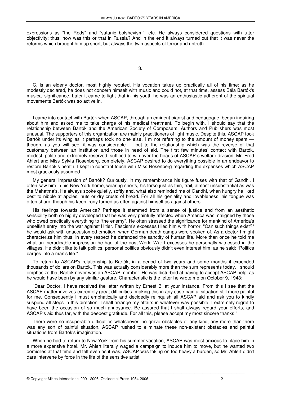expressions as "the Reds" and "satanic bolshevism", etc. He always considered questions with utter objectivity: thus, how was this or that in Russia? And in the end it always turned out that it was never the reforms which brought him up short, but always the twin aspects of terror and untruth.

3.

C. is an elderly doctor, most highly reputed. His vocation takes up practically all of his time; as he modestly declared, he does not concern himself with music and could not, at that time, assess Béla Bartók's musical significance. Later it came to light that in his youth he was an enthusiastic adherent of the spiritual movements Bartók was so active in.

I came into contact with Bartók when ASCAP, through an eminent pianist and pedagogue, began inquiring about him and asked me to take charge of his medical treatment. To begin with, I should say that the relationship between Bartók and the American Society of Composers, Authors and Publishers was most unusual. The supporters of this organization are mainly practitioners of light music. Despite this, ASCAP took Bartók under its wing as it perhaps took no one else. I m not referring to the amount of money spent – though, as you will see, it was considerable — but to the relationship which was the reverse of that customary between an institution and those in need of aid. The first few minutes' contact with Bartók, modest, polite and extremely reserved, sufficed to win over the heads of ASCAP s welfare division, Mr. Fred Ahlert and Miss Sylvia Rosenberg, completely. ASCAP desired to do everything possible in an endeavor to restore Bartók's health. I kept in constant touch with Miss Rosenberg regarding the expenses which ASCAP most graciously assumed.

My general impression of Bartók? Curiously, in my remembrance his figure fuses with that of Gandhi. I often saw him in his New York home, wearing shorts, his torso just as thin, frail, almost unsubstantial as was the Mahatma's. He always spoke quietly, softly and, what also reminded me of Gandhi, when hungry he liked best to nibble at apples, nuts or dry crusts of bread. For all his geniality and lovableness, his tongue was often sharp, though his keen irony turned as often against himself as against others.

His feelings towards America? Perhaps it stemmed from a sense of justice and from an aesthetic sensibility both so highly developed that he was very painfully affected when America was maligned by those who owed practically everything to "the enemy". He often stressed the significance for mankind of America's unselfish entry into the war against Hitler. Fascism's excesses filled him with horror. "Can such things exist?" he would ask with unaccustomed emotion, when German death camps were spoken of. As a doctor I might characterize him thus: in every respect he defended the sanctity of human life. More than once he told me what an ineradicable impression he had of the post-World War I excesses he personally witnessed in the villages. He didn't like to talk politics, personal politics obviously didn't even interest him; as he said: "Politics barges into a man's life."

To return to ASCAP's relationship to Bartók, in a period of two years and some months it expended thousands of dollars on Bartók. This was actually considerably more than the sum represents today. I should emphasize that Bartók never was an ASCAP member. He was disturbed at having to accept ASCAP help, as he would have been by any similar gesture. Characteristic is the letter he wrote me on October 9, 1943:

"Dear Doctor, I have received the letter written by Ernest B. at your instance. From this I see that the ASCAP matter involves extremely great difficulties, making this in any case painful situation still more painful for me. Consequently I must emphatically and decidedly relinquish all ASCAP aid and ask you to kindly suspend all steps in this direction. I shall arrange my affairs in whatever way possible. I extremely regret to have been the occasion of so much annoyance. Be assured that I shall always regard your efforts, and ASCAP's aid thus far, with the deepest gratitude. For all this, please accept my most sincere thanks."

There were no insuperable difficulties whatsoever, no grave obstacles of any kind, any more than there was any sort of painful situation. ASCAP rushed to eliminate these non-existant obstacles and painful situations from Bartók's imagination.

When he had to return to New York from his summer vacation, ASCAP was most anxious to place him in a more expensive hotel. Mr. Ahlert literally waged a campaign to induce him to move, but he wanted two domiciles at that time and felt even as it was, ASCAP was taking on too heavy a burden, so Mr. Ahlert didn't dare intervene by force in the life of the sensitive artist.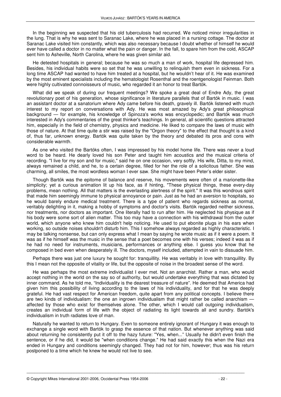In the beginning we suspected that his old tuberculosis had recurred. We noticed minor irregularities in the lung. That is why he was sent to Saranac Lake, where he was placed in a nursing cottage. The doctor at Saranac Lake visited him constantly, which was also necessary because I doubt whether of himself he would ever have called a doctor in no matter what the pain or danger. In the fall, to spare him from the cold, ASCAP sent him to Asheville, North Carolina, where he was given similar aid.

He detested hospitals in general; because he was so much a man of work, hospital life depressed him. Besides, his individual habits were so set that he was unwilling to relinquish them even in sickness. For a long time ASCAP had wanted to have him treated at a hospital, but he wouldn't hear of it. He was examined by the most eminent specialists including the hematologist Rosenthal and the roentgenologist Feinman. Both were highly cultivated connoisseurs of music, who regarded it an honor to treat Bartók.

What did we speak of during our frequent meetings? We spoke a great deal of Endre Ady, the great revolutionary poet of his generation, whose significance in literature parallels that of Bartók in music. I was an assistant doctor at a sanatorium where Ady came before his death, gravely ill. Bartók listened with much interest to my report on conversations with Ady. He was most amazed by Ady's great philosophical background — for example, his knowledge of Spinoza's works was encyclopedic; and Bartók was much interested in Ady's commentaries of the great thinker's teachings. In general, all scientific questions attracted him, especially in the field of chemistry, physics and medicine. He liked to compare the laws of music with those of nature. At that time quite a stir was raised by the "Orgon theory" to the effect that thought is a kind of, thus far, unknown energy. Bartók was quite taken by the theory and debated its pros and cons with considerable warmth.

As one who visited the Bartóks often, I was impressed by his model home life. There was never a loud word to be heard. He dearly loved his son Peter and taught him acoustics and the musical criteria of recording. "I live for my son and for music," said he on one occasion, very softly. His wife, Ditta, to my mind, always remained a child, and he, to a certain degree, filled for her the role of a solicitous father. She was charming, all smiles, the most wordless woman I ever saw. She might have been Peter's elder sister.

Though Bartók was the epitome of balance and reserve, his movements were often of a marionette-like simplicity; yet a curious animation lit up his face, as if hinting, "These physical things, these every-day problems, mean nothing. All that matters is the everlasting alertness of the spirit." It was this wondrous spirit that made him seemingly immune to physical annoyance or pain. Just as he had an aversion to hospitals, so he would barely endure medical treatment. There is a type of patient who regards sickness as normal, veritably delighting in it, making a hobby of symptoms and doctor's visits. Bartók regarded neither sickness, nor treatments, nor doctors as important. One literally had to run after him. He neglected his physique as if his body were some sort of alien matter. This too may have a connection with his withdrawal from the outer world, which anyone who knew him couldn't help noticing. He used to put ebonite plugs in his ears when working, so outside noises shouldn't disturb him. This I somehow always regarded as highly characteristic. I may be talking nonsense, but can only express what I mean by saying he wrote music as if it were a poem. It was as if he himself was the music in the sense that a poet becomes one with his verses; indeed it was as if he had no need for instruments, musicians, performances or anything else. I guess you know that he composed in bed even when desperately ill. The doctors, myself included, attempted in vain to dissuade him.

Perhaps there was just one luxury he sought for: tranquillity. He was veritably in love with tranquillity. By this I mean not the opposite of vitality or life, but the opposite of noise in the broadest sense of the word.

He was perhaps the most extreme individualist I ever met. Not an anarchist. Rather a man, who would accept nothing in the world on the say so of authority, but would undertake everything that was dictated by inner command. As he told me, "Individuality is the dearest treasure of nature". He deemed that America had given him this possibility of living according to the laws of his individuality, and for that he was deeply grateful. He had vast respect for American freedom, quite apart from any political concepts. I believe there are two kinds of individualism: the one an ingrown individualism that might rather be called anarchism affected by those who exist for themselves alone. The other, which I would call outgoing individualism, creates an individual form of life with the object of radiating its light towards all and sundry. Bartók's individualism in truth radiates love of man.

Naturally he wanted to return to Hungary. Even to someone entirely ignorant of Hungary it was enough to exchange a single word with Bartók to grasp the essence of that nation. But whenever anything was said about returning he consistently put it off to the hazy future: "Yes, when..." Usually he didn't even finish the sentence, or if he did, it would be "when conditions change." He had said exactly this when the Nazi era ended in Hungary and conditions seemingly changed. They had not for him, however; thus was his return postponed to a time which he knew he would not live to see.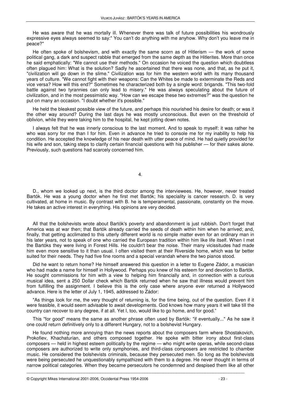He was aware that he was mortally ill. Whenever there was talk of future possibilities his wondrously expressive eyes always seemed to say:" You can't do anything with me anyhow. Why don't you leave me in peace?"

He often spoke of bolshevism, and with exactly the same scorn as of Hitlerism — the work of some political gang, a dark and suspect rabble that emerged from the same depth as the Hitlerites. More than once he said emphatically: "We cannot use their methods." On occasion he voiced the question which doubtless often plagued him: What is the solution? Sadly he ascertained that there was none, and that, as he put it, "civilization will go down in the slime." Civilization was for him the western world with its many thousand years of culture. "We cannot fight with their weapons: Can the Whites be made to exterminate the Reds and vice versa? How will this end?" Sometimes he characterized both by a single word: brigands. "This two-fold battle against two tyrannies can only lead to misery." He was always speculating about the future of civilization, and in the most pessimistic way. "How can we escape these two extremes?" was the question he put on many an occasion. "I doubt whether it's possible."

He held the bleakest possible view of the future, and perhaps this nourished his desire for death; or was it the other way around? During the last days he was mostly unconscious. But even on the threshold of oblivion, while they were taking him to the hospital, he kept jotting down notes.

I always felt that he was innerly conscious to the last moment. And to speak to myself: it was rather he who was sorry for me than I for him. Even in advance he tried to console me for my inability to help his condition. He accepted the knowledge of his near death with utter peace of mind. He had quietly provided for his wife and son, taking steps to clarify certain financial questions with his publisher — for their sakes alone. Previously, such questions had scarcely concerned him.

4.

D., whom we looked up next, is the third doctor among the interviewees. He, however, never treated Bartók. He was a young doctor when he first met Bartók; his speciality is cancer research. D. is very cultivated, at home in music. By contrast with B. he is temperamental, passionate, constantly on the move. He takes an active interest in everything. His opinions are very decided.

All that the bolshevists wrote about Bartók's poverty and abandonment is just rubbish. Don't forget that America was at war then; that Bartók already carried the seeds of death within him when he arrived; and, finally, that getting acclimated to this utterly different world is no simple matter even for an ordinary man in his later years, not to speak of one who carried the European tradition within him like life itself. When I met the Bartóks they were living in Forest Hills. He couldn't bear the noise. Their many vicissitudes had made him even more sensitive to it than usual. I often visited them at their Riverside home, which was far better suited for their needs. They had five fine rooms and a special verandah where the two pianos stood.

Did he want to return home? He himself answered this question in a letter to Eugene Zádor, a musician who had made a name for himself in Hollywood. Perhaps you knew of his esteem for and devotion to Bartók. He sought commissions for him with a view to helping him financially and, in connection with a curious musical idea, sent a 250 Dollar check which Bartók returned when he saw that illness would prevent him from fulfilling the assignment. I believe this is the only case where anyone ever returned a Hollywood advance. Here is the letter of July 1, 1945, addressed to Zádor:

"As things look for me, the very thought of returning is, for the time being, out of the question. Even if it were feasible, it would seem advisable to await developments. God knows how many years it will take till the country can recover to any degree, if at all. Yet I, too, would like to go home, and for good."

This "for good" means the same as another phrase often used by Bartók: "if eventually..." As he saw it one could return definitively only to a different Hungary, not to a bolshevist Hungary.

He found nothing more annoying than the news reports about the composers farm where Shostakovich, Prokofiev, Khachaturian, and others composed together. He spoke with bitter irony about first-class composers — held in highest esteem politically by the regime — who might write operas, while second-class composers are authorized to write only symphonies, and third-class composers are restricted to chamber music. He considered the bolshevists criminals, because they persecuted men. So long as the bolshevists were being persecuted he unquestionably sympathized with them to a degree. He never thought in terms of narrow political categories. When they became persecutors he condemned and despised them like all other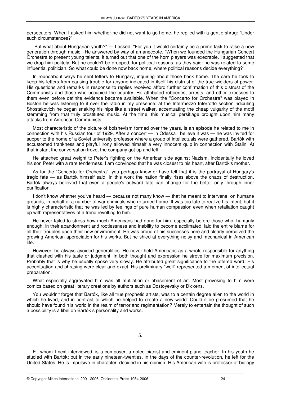persecutors. When I asked him whether he did not want to go home, he replied with a gentle shrug: "Under such circumstances?"

"But what about Hungarian youth?" — I asked. "For you it would certainly be a prime task to raise a new generation through music." He answered by way of an anecdote, "When we founded the Hungarian Concert Orchestra to present young talents, it turned out that one of the horn players was execrable. I suggested that we drop him politely. But he couldn't be dropped, for political reasons, as they said: he was related to some influential politician. So what could be done now back home, where political reasons decide everything?"

In roundabout ways he sent letters to Hungary, inquiring about those back home. The care he took to keep his letters from causing trouble for anyone indicated in itself his distrust of the true wielders of power. His questions and remarks in response to replies received afford further confirmation of this distrust of the Communists and those who occupied the country. He attributed robberies, arrests, and other excesses to them even before definite evidence became available. When the "Concerto for Orchestra" was played in Boston he was listening to it over the radio in my presence: at the Intermezzo Interrotto section ridiculing Shostakovich he began snaking his hips like a street walker, accentuating the cheap vulgarity of the motif stemming from that truly prostituted music. At the time, this musical persiflage brought upon him many attacks from American Communists.

Most characteristic of the picture of bolshevism formed over the years, is an episode he related to me in connection with his Russian tour of 1929. After a concert — in Odessa I believe it was — he was invited for supper to the home of a Soviet university professor where a group of intellectuals were gathered. Bartók with accustomed frankness and playful irony allowed himself a very innocent quip in connection with Stalin. At that instant the conversation froze, the company got up and left.

He attached great weight to Peter's fighting on the American side against Nazism. Incidentally he loved his son Peter with a rare tenderness. I am convinced that he was closest to his heart, after Bartók's mother.

As for the "Concerto for Orchestra", you perhaps know or have felt that it is the portrayal of Hungary's tragic fate — as Bartók himself said. In this work the nation finally rises above the chaos of destruction. Bartók always believed that even a people's outward fate can change for the better only through inner purification.

I don't know whether you've heard — because not many know — that he meant to intervene, on humane grounds, in behalf of a number of war criminals who returned home. It was too late to realize his intent, but it is highly characteristic that he was led by feelings of pure human compassion even when retaliation caught up with representatives of a trend revolting to him.

He never failed to stress how much Americans had done for him, especially before those who, humanly enough, in their abandonment and rootlessness and inability to become acclimated, laid the entire blame for all their troubles upon their new environment. He was proud of his successes here and clearly perceived the growing American appreciation for his works. But he shied at everything noisy and mechanical in American life.

However, he always avoided generalities. He never held Americans as a whole responsible for anything that clashed with his taste or judgment. In both thought and expression he strove for maximum precision. Probably that is why he usually spoke very slowly. He attributed great significance to the uttered word. His accentuation and phrasing were clear and exact. His preliminary "well" represented a moment of intellectual preparation.

What especially aggravated him was all mutilation or abasement of art. Most provoking to him were comics based on great literary creations by authors such as Dostoyevsky or Dickens.

You wouldn't forget that Bartók, like all true prophetic artists, was to a certain degree alien to the world in which he lived, and in contrast to which he helped to create a new world. Could it be presumed that he should have found his world in the realm of terror and regimentation? Merely to entertain the thought of such a possibility is a libel on Bartók s personality and works.

5.

E., whom I next interviewed, is a composer, a noted pianist and eminent piano teacher. In his youth he studied with Bartók; but in the early nineteen-twenties, in the days of the counter-revolution, he left for the United States. He is impulsive in character, decided in his opinion. His American wife is professor of biology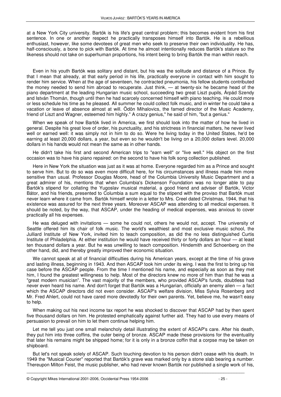at a New York City university. Bartók is his life's great central problem; this becomes evident from his first sentence. In one or another respect he practically transposes himself into Bartók. He is a rebellious enthusiast, however, like some devotees of great men who seek to preserve their own individuality. He has, half-consciously, a bone to pick with Bartók. At time he almost intentionally reduces Bartók's stature so the likeness should not take on superhuman proportions, his intent being to bring Bartók the man within reach.

Even in his youth Bartók was solitary and distant, but his was the solitude and distance of a Prince. By that I mean that already, at that early period in his life, practically everyone in contact with him sought to render him service. When at the age of seventeen, he contracted pneumonia, his fellow students contributed the money needed to send him abroad to recuperate. Just think, — at twenty-six he became head of the piano department at the leading Hungarian music school, succeeding two great Liszt pupils, Árpád Szendy and István Thomán, though until then he had scarcely concerned himself with piano teaching. He could more or less schedule his time as he pleased. All summer he could collect folk music, and in winter he could take a vacation or leave of absence almost at will. Ödön Mihalovics, the famed director of the Music Academy, friend of Liszt and Wagner, esteemed him highly." A crazy genius," he said of him, "but a genius."

When we speak of how Bartók lived in America, we first should look into the matter of how he lived in general. Despite his great love of order, his punctuality, and his strictness in financial matters, he never lived well or earned well: it was simply not in him to do so. Were he living today in the United States, he'd be earning at least 20,000 dollars, a year, but even so he wouldn't be living on a 20,000 dollars level. 20,000 dollars in his hands would not mean the same as in other hands.

He didn't take his first and second American trips to "earn well" or "live well." His object on the first occasion was to have his piano repaired: on the second to have his folk song collection published.

Here in New York the situation was just as it was at home. Everyone regarded him as a Prince and sought to serve him. But to do so was even more difficult here, for his circumstances and illness made him more sensitive than usual. Professor Douglas Moore, head of the Columbia University Music Department and a great admirer of his, mentions that when Columbia's Dickenson Foundation was no longer able to pay Bartók's stipend for collating the Yugoslav musical material, a good friend and adviser of Bartók, Victor Bátor, and his friends, presented to Columbia a sum equal to the stipend with the proviso that Bartók must never learn where it came from. Bartók himself wrote in a letter to Mrs. Creel dated Christmas, 1944, that his existence was assured for the next three years. Moreover ASCAP was attending to all medical expenses. It should be noted, by the way, that ASCAP, under the heading of medical expenses, was anxious to cover practically all his expenses.

He was deluged with invitations — some he could not, others he would not, accept. The university of Seattle offered him its chair of folk music. The world's wealthiest and most exclusive music school, the Julliard Institute of New York, invited him to teach composition, as did the no less distinguished Curtis Institute of Philadelphia. At either institution he would have received thirty or forty dollars an hour — at least ten thousand dollars a year. But he was unwilling to teach composition. Hindemith and Schoenberg on the other hand, did, and thereby greatly improved their economic situation.

We cannot speak at all of financial difficulties during his American years, except at the time of his grave and lasting illness, beginning in 1943. And then ASCAP took him under its wing. I was the first to bring up his case before the ASCAP people. From the time I mentioned his name, and especially as soon as they met him, I found the greatest willingness to help. Most of the directors knew no more of him than that he was a "great modern musician". The vast majority of the members, who provided ASCAP's funds, doubtless had never even heard his name. And don't forget that Bartók was a Hungarian, officially an enemy alien — a fact which the ASCAP directors did not even consider. ASCAP's welfare division, Miss Sylvia Rosenberg and Mr. Fred Ahlert, could not have cared more devotedly for their own parents. Yet, believe me, he wasn't easy to help.

When making out his next income tax report he was shocked to discover that ASCAP had by then spent five thousand dollars on him. He protested emphatically against further aid. They had to use every means of persuasion to prevail on him to let them continue helping him.

Let me tell you just one small melancholy detail illustrating the extent of ASCAP's care. After his death, they put him into three coffins, the outer being of bronze. ASCAP made these provisions for the eventuality that later his remains might be shipped home; for it is only in a bronze coffin that a corpse may be taken on shipboard.

But let's not speak solely of ASCAP. Such touching devotion to his person didn't cease with his death. In 1949 the "Musical Courier" reported that Bartók's grave was marked only by a stone slab bearing a number. Thereupon Milton Feist, the music publisher, who had never known Bartók nor published a single work of his,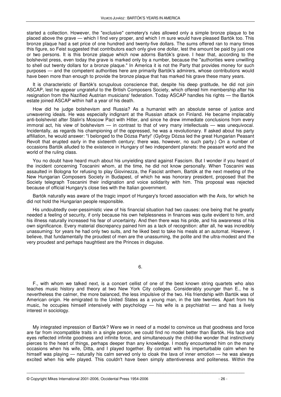started a collection. However, the "exclusive" cemetery's rules allowed only a simple bronze plaque to be placed above the grave — which I find very proper, and which I m sure would have pleased Bartók too. This bronze plaque had a set price of one hundred and twenty-five dollars. The sums offered ran to many times this figure, so Feist suggested that contributors each only give one dollar, lest the amount be paid by just one or two persons. It is this bronze plaque which now adorns Bartók's grave. I hear that, according to the bolshevist press, even today the grave is marked only by a number, because the "authorities were unwilling to shell out twenty dollars for a bronze plaque." In America it is not the Party that provides money for such purposes — and the competent authorities here are primarily Bartók's admirers, whose contributions would have been more than enough to provide the bronze plaque that has marked his grave these many years.

It is characteristic of Bartók's scrupulous conscience that, despite his deep gratitude, he did not join ASCAP, lest he appear ungrateful to the British Composers Society, which offered him membership after his resignation from the Nazified Austrian musicians' federation. Today ASCAP handles his rights — the Bartók estate joined ASCAP within half a year of his death.

How did he judge bolshevism and Russia? As a humanist with an absolute sense of justice and unwavering ideals. He was especially indignant at the Russian attack on Finland. He became implacably anti-bolshevist after Stalin's Moscow Pact with Hitler, and since he drew immediate conclusions from every immoral act, his view of bolshevism — in contrast to that of very many intellectuals — was unequivocal. Incidentally, as regards his championing of the oppressed, he was a revolutionary. If asked about his party affiliation, he would answer: "I belonged to the Dózsa Party!' (György Dózsa led the great Hungarian Peasant Revolt that erupted early in the sixteenth century; there was, however, no such party.) On a number of occasions Bartók alluded to the existence in Hungary of two independent planets: the peasant world and the world of the ruling class.

You no doubt have heard much about his unyielding stand against Fascism. But I wonder if you heard of the incident concerning Toscanini whom, at the time, he did not know personally. When Toscanini was assaulted in Bologna for refusing to play Giovinezza, the Fascist anthem, Bartók at the next meeting of the New Hungarian Composers Society in Budapest, of which he was honorary president, proposed that the Society telegraph Toscanini their indignation and voice solidarity with him. This proposal was rejected because of official Hungary's close ties with the Italian government.

Bartók naturally was aware of the tragic import of Hungary's forced association with the Axis, for which he did not hold the Hungarian people responsible.

His undoubtedly over-pessimistic view of his financial situation had two causes: one being that he greatly needed a feeling of security, if only because his own helplessness in finances was quite evident to him, and his illness naturally increased his fear of uncertainty. And then there was his pride, and his awareness of his own significance. Every material discrepancy pained him as a lack of recognition: after all, he was incredibly unassuming: for years he had only two suits, and he liked best to take his meals at an automat. However, I believe, that fundamentally the proudest of men are the unassuming, the polite and the ultra-modest and the very proudest and perhaps haughtiest are the Princes in disguise.

6.

F., with whom we talked next, is a concert cellist of one of the best known string quartets who also teaches music history and theory at two New York City colleges. Considerably younger than E., he is nevertheless the calmer, the more balanced, the less impulsive of the two. His friendship with Bartók was of American origin. He emigrated to the United States as a young man, in the late twenties. Apart from his music, he occupies himself intensively with psychology  $-$  his wife is a psychiatrist  $-$  and has a lively interest in sociology.

My integrated impression of Bartók? Were we in need of a model to convince us that goodness and force are far from incompatible traits in a single person, we could find no model better than Bartók. His face and eyes reflected infinite goodness and infinite force, and simultaneously the child-like wonder that instinctively pierces to the heart of things, perhaps deeper than any knowledge. I mostly encountered him on the many occasions when his wife, Ditta, and I played together. By contrast with his imperturbable calm when he himself was playing — naturally his calm served only to cloak the lava of inner emotion — he was always excited when his wife played. This couldn't have been simply attentiveness and politeness. Within the

\_\_\_\_\_\_\_\_\_\_\_\_\_\_\_\_\_\_\_\_\_\_\_\_\_\_\_\_\_\_\_\_\_\_\_\_\_\_\_\_\_\_\_\_\_\_\_\_\_\_\_\_\_\_\_\_\_\_\_\_\_\_\_\_\_\_\_\_\_\_\_\_\_\_\_\_\_\_\_\_\_\_\_

© Copyright Mikes International 2001-2006, Occidental Press 1954-2006 - 26 -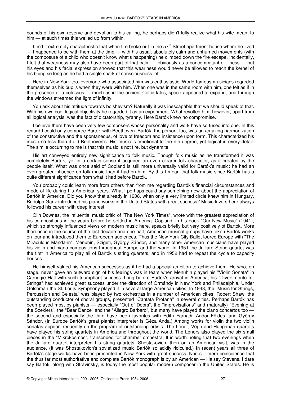bounds of his own reserve and devotion to his calling, he perhaps didn't fully realize what his wife meant to him — at such times this welled up from within.

I find it extremely characteristic that when fire broke out in the 57<sup>th</sup> Street apartment house where he lived — I happened to be with them at the time — with his usual, absolutely calm and unhurried movements (with the composure of a child who doesn't know what's happening) he climbed down the fire escape. Incidentally, I felt that weariness may also have been part of that calm — obviously as a concommitant of illness — but his eyes and his facial expression showed that this weariness would never be allowed to reach the kernel of his being so long as he had a single spark of consciousness left.

Here in New York too, everyone who associated him was enthusiastic. World-famous musicians regarded themselves as his pupils when they were with him. When one was in the same room with him, one felt as if in the presence of a colossus — much as in the ancient Celtic tales, space appeared to expand, and through the windows streamed the light of infinity.

You ask about his attitude towards bolshevism? Naturally it was inescapable that we should speak of that. With his own cool logical objectivity he regarded it as an experiment. What revolted him, however, apart from all logical analysis, was the fact of dictatorship, tyranny. Here Bartók knew no compromise.

I believe there have been very few composers whose personality and work have so fused into one. In this regard I could only compare Bartók with Beethoven. Bartók, the person, too, was an amazing harmonization of the constructive and the spontaneous, of love of freedom and insistence upon form. This characterized his music no less than it did Beethoven's. His music is emotional to the nth degree, yet logical in every detail. The simile occurring to me is that this music is not fire, but dynamite.

His art conveyed entirely new significance to folk music. Though folk music as he transformed it was completely Bartók, yet in a certain sense it acquired an even clearer folk character, as if created by the people itself. What was once said of Copland is still more universally valid for Bartók's music: he had an even greater influence on folk music than it had on him. By this I mean that folk music since Bartók has a quite different significance from what it had before Bartók.

You probably could learn more from others than from me regarding Bartók's financial circumstances and mode of life during his American years. What I perhaps could say something new about the appreciation of Bartók in America. Did you know that already in 1908, when only a very limited circle knew him in Hungary, Rudolph Ganz introduced his piano works in the United States with great success? Music lovers here always followed his career with deep interest.

Olin Downes, the influential music critic of "The New York Times", wrote with the greatest appreciation of his compositions in the years before he settled in America. Copland, in his book "Our New Music" (1941), which so strongly influenced views on modern music here, speaks briefly but very positively of Bartók. More than once in the course of the last decade and one half, American musical groups have taken Bartók works on tour and introduced them to European audiences. Thus the New York City Ballet toured Europe with "The Miraculous Mandarin". Menuhin, Szigeti, György Sándor, and many other American musicians have played his violin and piano compositions throughout Europe and the world. In 1951 the Julliard String quartet was the first in America to play all of Bartók s string quartets, and in 1952 had to repeat the cycle to capacity houses.

He himself valued his American successes as if he had a special ambition to achieve them. He who, on stage, never gave an outward sign of his feelings was in tears when Menuhin played his "Violin Sonata" in Carnegie Hall with such triumphant success. Long before Bartók's arrival in America, his "Divertimento for Strings" had achieved great success under the direction of Ormándy in New York and Philadelphia. Under Golshman the St. Louis Symphony played it in several large American cities. In 1948, the "Music for Strings, Percussion and Celesta" was played by two orchestras in a number of American cities. Robert Shaw, the outstanding conductor of choral groups, presented "Cantata Profana" in several cities. Perhaps Bartók has been played most by pianists — especially "Out of Doors", the "improvisations" and (naturally) "Evening at the Szeklers", the "Bear Dance" and the "Allegro Barbaro", but many have played the piano concertos too the second and especially the third have been favorites with Edith Farnadi, Andor Földes, and György Sándor. (In Europe Bartók's great pianist interpreter is Géza Anda.) Among works for violin the two violin sonatas appear frequently on the program of outstanding artists. The Léner, Végh and Hungarian quartets have played his string quartets in America and throughout the world. The Léners also played the six small pieces in the "Mikrokosmos", transcribed for chamber orchestra. It is worth noting that two evenings when the Julliard quartet interpreted his string quartets, Shostakovich, then on an American visit, was in the audience. (It was Shostakovich's sovietized music Bartók so acidly ridiculed.) In recent years all three of Bartók's stage works have been presented in New York with great success. Nor is it mere coincidence that the thus far most authoritative and complete Bartók monograph is by an American — Halsey Stevens. I dare say Bartók, along with Stravinsky, is today the most popular modern composer in the United States. He is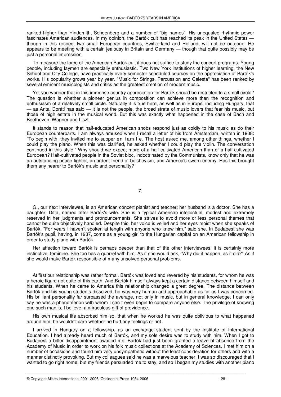ranked higher than Hindemith, Schoenberg and a number of "big names". His unequaled rhythmic power fascinates American audiences. In my opinion, the Bartók cult has reached its peak in the United States though in this respect two small European countries, Switzerland and Holland, will not be outdone. He appears to be meeting with a certain jealousy in Britain and Germany — though that quite possibly may be just a personal impression.

To measure the force of the American Bartók cult it does not suffice to study the concert programs. Young people, including laymen are especially enthusiastic. Two New York institutions of higher learning, the New School and City College, have practically every semester scheduled courses on the appreciation of Bartók's works. His popularity grows year by year. "Music for Strings, Percussion and Celesta" has been ranked by several eminent musicologists and critics as the greatest creation of modern music.

Yet you wonder that in this immense country appreciation for Bartók should be restricted to a small circle? The question is whether a pioneer genius in composition can achieve more than the recognition and enthusiasm of a relatively small circle. Naturally it is true here, as well as in Europe, including Hungary, that — as Antal Doráti has said — it is not the people, the broad strata of music lovers that fear his music, but those of high estate in the musical world. But this was exactly what happened in the case of Bach and Beethoven, Wagner and Liszt.

It stands to reason that half-educated American snobs respond just as coldly to his music as do their European counterparts. I am always amused when I recall a letter of his from Amsterdam, written in 1938: "To begin with, they invited me to supper en famille. The host asked me, among other things, whether I could play the piano. When this was clarified, he asked whether I could play the violin. The conversation continued in this style." Why should we expect more of a half-cultivated American than of a half-cultivated European? Half-cultivated people in the Soviet bloc, indoctrinated by the Communists, know only that he was an outstanding peace fighter, an ardent friend of bolshevism, and America's sworn enemy. Has this brought them any nearer to Bartók's music and personality?

7.

G., our next interviewee, is an American concert pianist and teacher; her husband is a doctor. She has a daughter, Ditta, named after Bartók's wife. She is a typical American intellectual, modest and extremely reserved in her judgments and pronouncements. She strives to avoid more or less personal themes that cannot be quite objectively handled. Despite this, her voice is veiled and her eyes moist when she speaks of Bartók. "For years I haven't spoken at length with anyone who knew him," said she. In Budapest she was Bartók's pupil, having, in 1937, come as a young girl to the Hungarian capital on an American fellowship in order to study piano with Bartók.

Her affection toward Bartók is perhaps deeper than that of the other interviewees, it is certainly more instinctive, feminine. She too has a quarrel with him. As if she would ask, "Why did it happen, as it did?" As if she would make Bartók responsible of many unsolved personal problems.

At first our relationship was rather formal. Bartók was loved and revered by his students, for whom he was a heroic figure not quite of this earth. And Bartók himself always kept a certain distance between himself and his students. When he came to America this relationship changed a great degree. The distance between Bartók and his young students dissolved, he was very human and approachable as far as I was concerned. His brilliant personality far surpassed the average, not only in music, but in general knowledge. I can only say he was a phenomenon with whom I can t even begin to compare anyone else. The privilege of knowing one such man is, I believe, a miraculous gift of providence.

His own musical life absorbed him so, that when he worked he was quite oblivious to what happened around him: he wouldn't care whether he hurt any feelings or not.

I arrived in Hungary on a fellowship, as an exchange student sent by the Institute of International Education. I had already heard much of Bartók, and my sole desire was to study with him. When I got to Budapest a bitter disappointment awaited me: Bartók had just been granted a leave of absence from the Academy of Music in order to work on his folk music collections at the Academy of Sciences. I met him on a number of occasions and found him very unsympathetic without the least consideration for others and with a manner distinctly provoking. But my colleagues said he was a marvelous teacher. I was so discouraged that I wanted to go right home, but my friends persuaded me to stay, and so I began my studies with another piano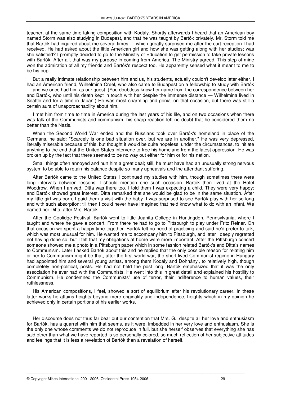teacher, at the same time taking composition with Kodály. Shortly afterwards I heard that an American boy named Storm was also studying in Budapest, and that he was taught by Bartók privately. Mr. Storm told me that Bartók had inquired about me several times — which greatly surprised me after the curt reception I had received. He had asked about the little American girl and how she was getting along with her studies; was she satisfied? I promptly decided to go to the Ministry of Education to get permission to take private lessons with Bartók. After all, that was my purpose in coming from America. The Ministry agreed. This step of mine won the admiration of all my friends and Bartók's respect too. He apparently sensed what it meant to me to be his pupil.

But a really intimate relationship between him and us, his students, actually couldn't develop later either. I had an American friend, Wilhelmina Creel, who also came to Budapest on a fellowship to study with Bartók — and we once had him as our guest. (You doubtless know her name from the correspondence between her and Bartók, who until his death kept in touch with her despite the immense distance — Wilhelmina lived in Seattle and for a time in Japan.) He was most charming and genial on that occasion, but there was still a certain aura of unapproachability about him.

I met him from time to time in America during the last years of his life, and on two occasions when there was talk of the Communists and communism, his sharp reaction left no doubt that he considered them no better than the Nazis.

When the Second World War ended and the Russians took over Bartók's homeland in place of the Germans, he said: "Scarcely is one bad situation over, but we are in another." He was very depressed, literally miserable because of this, but thought it would be quite hopeless, under the circumstances, to initiate anything to the end that the United States intervene to free his homeland from the latest oppression. He was broken up by the fact that there seemed to be no way out either for him or for his nation.

Small things often annoyed and hurt him a great deal; still, he must have had an unusually strong nervous system to be able to retain his balance despite so many upheavals and the attendant suffering.

After Bartók came to the United States I continued my studies with him, though sometimes there were long intervals between lessons. I should mention one such occasion. Bartók then lived at the Hotel Woodrow. When I arrived, Ditta was there too. I told them I was expecting a child. They were very happy; and Bartók showed great interest. Ditta remarked that she would be glad to be in the same situation. After my little girl was born, I paid them a visit with the baby. I was surprised to see Bartók play with her so long and with such absorption: till then I could never have imagined that he'd know what to do with an infant. We named her Ditta, after Mrs. Bartók.

After the Coolidge Festival, Bartók went to little Juanita College in Huntingdon, Pennsylvania, where I taught and where he gave a concert. From there he had to go to Pittsburgh to play under Fritz Reiner. On that occasion we spent a happy time together. Bartók felt no need of practicing and said he'd prefer to talk, which was most unusual for him. He wanted me to accompany him to Pittsburgh, and later I deeply regretted not having done so; but I felt that my obligations at home were more important. After the Pittsburgh concert someone showed me a photo in a Pittsburgh paper which in some fashion related Bartók's and Ditta's names to Communism. Later I asked Bartók about this and he replied that the only possible reason for relating him or her to Communism might be that, after the first world war, the short-lived Communist regime in Hungary had appointed him and several young artists, among them Kodály and Dohnányi, to relatively high, though completely non-political, posts. He had not held the post long. Bartók emphasized that it was the only association he ever had with the Communists. He went into this in great detail and explained his hostility to Communism. He condemned the Communists' use of terror, their indifference to human values, their ruthlessness.

His American compositions, I feel, showed a sort of equilibrium after his revolutionary career. In these latter works he attains heights beyond mere originality and independence, heights which in my opinion he achieved only in certain portions of his earlier works.

Her discourse does not thus far bear out our contention that Mrs. G., despite all her love and enthusiasm for Bartók, has a quarrel with him that seems, as it were, imbedded in her very love and enthusiasm. She is the only one whose comments we do not reproduce in full, but she herself observes that everything she has said other than what we have reported is so personally colored, so much reflection of her subjective attitudes and feelings that it is less a revelation of Bartók than a revelation of herself.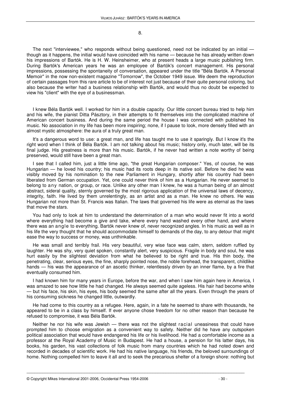#### 8.

The next "interviewee," who responds without being questioned, need not be indicated by an initial though as it happens, the initial would have coincided with his name — because he has already written down his impressions of Bartók. He is H. W. Heinsheimer, who at present heads a large music publishing firm. During Bartók's American years he was an employee of Bartók's concert management. His personal impressions, possessing the spontaneity of conversation, appeared under the title "Béla Bartók. A Personal Memoir" in the now non-existent magazine "Tomorrow", the October 1949 issue. We deem the reproduction of certain passages from this rare article to be of interest not just because of their quite personal coloring, but also because the writer had a business relationship with Bartók, and would thus no doubt be expected to view his "client" with the eye of a businessman.

I knew Béla Bartók well. I worked for him in a double capacity. Our little concert bureau tried to help him and his wife, the pianist Ditta Pásztory, in their attempts to fit themselves into the complicated machine of American concert business. And during the same period the house I was connected with published his music. No association in my life has been more inspiring; none, if I pause to look, more densely filled with an almost mystic atmosphere: the aura of a truly great man.

It's a dangerous word to use: a great man, and life has taught me to use it sparingly. But I know it's the right word when I think of Béla Bartók. I am not talking about his music; history only, much later, will be its final judge. His greatness is more than his music. Bartók, if he never had written a note worthy of being preserved, would still have been a great man.

I see that I called him, just a little time ago, "the great Hungarian composer." Yes, of course, he was Hungarian — he loved his country; his music had its roots deep in its native soil. Before he died he was visibly moved by his nomination to the new Parliament in Hungary, shortly after his country had been liberated from German occupation. Yet, one could never think of him as a Hungarian. He never seemed to belong to any nation, or group, or race. Unlike any other man I knew, he was a human being of an almost abstract, sideral quality, sternly governed by the most rigorous application of the universal laws of decency, integrity, faith. He lived by them unrelentingly, as an artist and as a man. He knew no others. He was Hungarian not more than St. Francis was Italian. The laws that governed his life were as eternal as the laws that move the stars.

You had only to look at him to understand the determination of a man who would never fit into a world where everything had become a give and take, where every hand washed every other hand, and where there was an angle to everything. Bartók never knew of, never recognized angles. In his music as well as in his life the very thought that he should accommodate himself to demands of the day, to any detour that might ease the way to success or money, was unthinkable.

He was small and terribly frail. His very beautiful, very wise face was calm, stern, seldom ruffled by laughter. He was shy, very quiet spoken, constantly alert, very suspicious. Fragile in body and soul, he was hurt easily by the slightest deviation from what he believed to be right and true. His thin body, the penetrating, clear, serious eyes, the fine, sharply pointed nose, the noble forehead, the transparent, childlike hands — his was the appearance of an ascetic thinker, relentlessly driven by an inner flame, by a fire that eventually consumed him.

I had known him for many years in Europe, before the war, and when I saw him again here in America, I was amazed to see how little he had changed. He always seemed quite ageless. His hair had become white — but his face, his skin, his eyes, his body seemed the same after all the years. Even through the years of his consuming sickness he changed little, outwardly.

He had come to this country as a refugee. Here, again, in a fate he seemed to share with thousands, he appeared to be in a class by himself. If ever anyone chose freedom for no other reason than because he refused to compromise, it was Béla Bartók.

Neither he nor his wife was Jewish — there was not the slightest racial uneasiness that could have prompted him to choose emigration as a convenient way to safety. Neither did he have any outspoken political association that would have endangered his life or his livelihood. He had a comfortable income as a professor at the Royal Academy of Music in Budapest. He had a house, a pension for his latter days, his books, his garden, his vast collections of folk music from many countries which he had noted down and recorded in decades of scientific work. He had his native language, his friends, the beloved surroundings of home. Nothing compelled him to leave it all and to seek the precarious shelter of a foreign shore: nothing but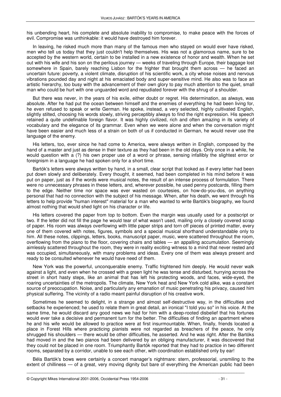his unbending heart, his complete and absolute inability to compromise, to make peace with the forces of evil. Compromise was unthinkable: it would have destroyed him forever.

In leaving, he risked much more than many of the famous men who stayed on would ever have risked, men who tell us today that they just couldn't help themselves. His was not a glamorous name, sure to be accepted by the western world, certain to be installed in a new existence of honor and wealth. When he set out with his wife and his son on the perilous journey — weeks of traveling through Europe, their baggage lost somewhere in Spain, barely reaching Lisbon for the frighter that brought them across — he faced an uncertain future: poverty, a violent climate, disruption of his scientific work, a city whose noises and nervous vibrations pounded day and night at his emaciated body and super-sensitive mind. He also was to face an artistic hierarchy, too busy with the advancement of their own glory to pay much attention to the quiet, small man who could be hurt with one unguarded word and repudiated forever with the shrug of a shoulder.

But there was never, in the years of his exile, either doubt or regret. His determination, as always, was absolute. After he had put the ocean between himself and the enemies of everything he had been living for, he even refused to speak or write German. He spoke, instead, a very selected, highly cultivated English, slightly stilted, choosing his words slowly, striving perceptibly always to find the right expression. His speech retained a quite undefinable foreign flavor. It was highly civilized, rich and often amazing in its variety of vocabulary and the elegance of its grammar. Even when we were alone and when the conversation might have been easier and much less of a strain on both of us if conducted in German, he would never use the language of the enemy.

His letters, too, ever since he had come to America, were always written in English, composed by the hand of a master and just as dense in their texture as they had been in the old days. Only once in a while, he would question with a (?) his own proper use of a word or phrase, sensing infallibly the slightest error or foreignism in a language he had spoken only for a short time.

Bartók's letters were always written by hand, in a small, clear script that looked as if every letter had been put down slowly and deliberately. Every thought, it seemed, had been completed in his mind before it was put on paper, just as if the words were musical notes, the result of an intense process of formulation. There were no unnecessary phrases in these letters, and, wherever possible, he used penny postcards, filling them to the edge. Neither time nor space was ever wasted on courtesies, on how-do-you-dos, on anything personal that had no connection with the subject of his message. When, after his death, we went through his letters to help provide "human interest" material for a man who wanted to write Bartók's biography, we found almost nothing that would shed light on his character or life.

His letters covered the paper from top to bottom. Even the margin was usually used for a postscript or two. If the letter did not fill the page he would tear of what wasn't used, mailing only a closely covered scrap of paper. His room was always overflowing with little paper strips and torn off pieces of printed matter, every one of them covered with notes, figures, symbols and a special musical shorthand understandable only to him. All these notes, clippings, letters, books, manuscript paper, music, were scattered throughout the room, overflowing from the piano to the floor, covering chairs and tables — an appalling accumulation. Seemingly aimlessly scattered throughout the room, they were in reality exciting witness to a mind that never rested and was occupied, simultaneously, with many problems and ideas. Every one of them was always present and ready to be consulted whenever he would have need of them.

New York was the powerful, unconquerable enemy. Traffic frightened him deeply. He would never walk against a light, and even when he crossed with a green light he was tense and disturbed, hurrying across the street in short hasty steps, like an animal that has left his protecting woods, and faces, wide-eyed, the roaring uncertainties of the metropolis. The climate, New York heat and New York cold alike, was a constant source of preoccupation. Noise, and particularly any emanation of music penetrating his privacy, caused him physical suffering. The vicinity of a radio meant painful disruption of his creative work.

Sometimes he seemed to delight, in a strange and almost self-destructive way, in the difficulties and setbacks he experienced; he used to relate them in great detail, an ironical "I told you so" in his voice. At the same time, he would discard any good news we had for him with a deep-rooted disbelief that his fortunes would ever take a decisive and permanent turn for the better. The difficulties of finding an apartment where he and his wife would be allowed to practice were at first insurmountable. When, finally, friends located a place in Forest Hills where practicing pianists were not regarded as breachers of the peace, he only shrugged his shoulders — there would be other difficulties, he asserted. And he was right. After the Bartóks had moved in and the two pianos had been delivered by an obliging manufacturer, it was discovered that they could not be placed in one room. Triumphantly Bartók reported that they had to practice in two different rooms, separated by a corridor, unable to see each other, with coordination established only by ear!

Béla Bartók's bows were certainly a concert manager's nightmare: stern, professorial, unsmiling to the extent of chilliness — of a great, very moving dignity but bare of everything the American public had been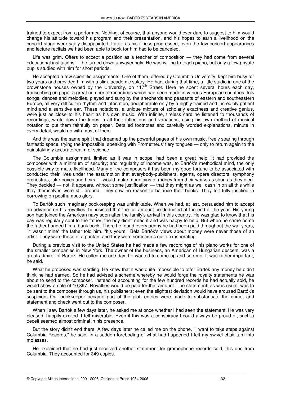trained to expect from a performer. Nothing, of course, that anyone would ever dare to suggest to him would change his attitude toward his program and their presentation, and his hopes to earn a livelihood on the concert stage were sadly disappointed. Later, as his illness progressed, even the few concert appearances and lecture recitals we had been able to book for him had to be canceled.

Life was grim. Offers to accept a position as a teacher of composition — they had come from several educational institutions — he turned down unwaveringly. He was willing to teach piano, but only a few private pupils studied with him for short periods.

He accepted a few scientific assignments. One of them, offered by Columbia University, kept him busy for two years and provided him with a slim, academic salary. He had, during that time, a little studio in one of the brownstone houses owned by the University, on  $117<sup>th</sup>$  Street. Here he spent several hours each day, transcribing on paper a great number of recordings which had been made in various European countries: folk songs, dances and melodies, played and sung by the shepherds and peasants of eastern and southeastern Europe, all very difficult in rhythm and intonation, decipherable only by a highly trained and incredibly patient mind and a sensitive ear. These notations, a unique mixture of scholarly exactness and creative genius, were just as close to his heart as his own music. With infinite, tireless care he listened to thousands of recordings, wrote down the tunes in all their inflections and variations, using his own method of musical notation to put them faithfully on paper. Detailed footnotes and carefully worded explanations, minute in every detail, would go with most of them.

And this was the same spirit that dreamed up the powerful pages of his own music, freely soaring through fantastic space, trying the impossible, speaking with Prometheus' fiery tongues — only to return again to the painstakingly accurate realm of science.

The Columbia assignment, limited as it was in scope, had been a great help. It had provided the composer with a minimum of security; and regularity of income was, to Bartók's methodical mind, the only possible way to make livelihood. Many of the composers it has been my good fortune to be associated with conducted their lives under the assumption that everybody-publishers, agents, opera directors, symphony orchestras, juke boxes and heirs — would make mountains of money from their works as soon as they died. They decided — not, it appears, without some justification — that they might as well cash in on all this while they themselves were still around. They saw no reason to balance their books. They felt fully justified in borrowing on posthumous glory.

To Bartók such imaginary bookkeeping was unthinkable. When we had, at last, persuaded him to accept an advance on his royalties, he insisted that the full amount be deducted at the end of the year. His young son had joined the American navy soon after the family's arrival in this country. He was glad to know that his pay was regularly sent to the father; the boy didn't need it and was happy to help. But when he came home the father handed him a bank book. There he found every penny he had been paid throughout the war years, "it wasn't mine" the father told him. "It's yours." Béla Bartók's views about money were never those of an artist. They were those of a puritan, and they were sometimes quite exasperating.

During a previous visit to the United States he had made a few recordings of his piano works for one of the smaller companies in New York. The owner of the business, an American of Hungarian descent, was a great admirer of Bartók. He called me one day; he wanted to come up and see me. It was rather important, he said.

What he proposed was startling. He knew that it was quite impossible to offer Bartók any money he didn't think he had earned. So he had advised a scheme whereby he would forge the royalty statements he was about to send to the composer. Instead of accounting for the few hundred records he had actually sold, he would show a sale of 10,897. Royalties would be paid for that amount. The statement, as was usual, was to be sent to the composer through us, his publishers; even the slightest deviation would have aroused Bartók's suspicion. Our bookkeeper became part of the plot, entries were made to substantiate the crime, and statement and check went out to the composer.

When I saw Bartók a few days later, he asked me at once whether I had seen the statement. He was very pleased, happily excited. I felt miserable. Even if this was a conspiracy I could always be proud of, such a deceit seemed almost criminal in his presence.

But the story didn't end there. A few days later he called me on the phone. "I want to take steps against Columbia Records," he said. In a sudden foreboding of what had happened I felt my swivel chair turn into molasses.

He explained that he had just received another statement for gramophone records sold, this one from Columbia. They accounted for 349 copies.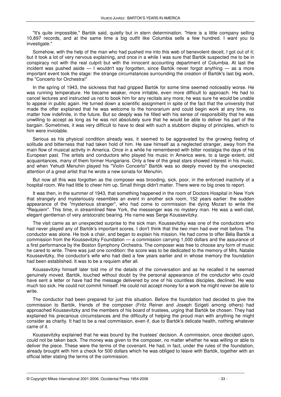"It's quite impossible," Bartók said, quietly but in stern determination. "Here is a little company selling 10,897 records, and at the same time a big outfit like Columbia sells a few hundred. I want you to investigate."

Somehow, with the help of the man who had pushed me into this web of benevolent deceit, I got out of it; but it took a lot of very nervous explaining, and once in a while I was sure that Bartók suspected me to be in conspiracy not with the real culprit but with the innocent accounting department of Columbia. At last the incident was pushed aside — I wouldn't say forgotten, since Bartók never forgot anything — as a more important event took the stage: the strange circumstances surrounding the creation of Bartók's last big work, the "Concerto for Orchestra!"

In the spring of 1943, the sickness that had gripped Bartók for some time seemed noticeably worse. He was running temperature. He became weaker, more irritable, even more difficult to approach. He had to cancel lectures and instructed us not to book him for any recitals any more; he was sure he would be unable to appear in public again. He turned down a scientific assignment in spite of the fact that the university that made the offer explained that he was welcome to the honorarium and could begin work at any time, no matter how indefinite, in the future. But so deeply was he filled with his sense of responsibility that he was unwilling to accept as long as he was not absolutely sure that he would be able to deliver his part of the bargain. Sometimes, it was very difficult to have to deal with such a stubborn display of principles, which to him were inviolable.

Serious as his physical condition already was, it seemed to be aggravated by the growing feeling of solitude and bitterness that had taken hold of him. He saw himself as a neglected stranger, away from the main flow of musical activity in America. Once in a while he remembered with bitter nostalgia the days of his European past. The artists and conductors who played his music in America were, to a large extent, old acquaintances, many of them former Hungarians. Only a few of the great stars showed interest in his music, and when Yehudi Menuhin played his "Violin Concerto" Bartók was so deeply moved by the unexpected attention of a great artist that he wrote a new sonata for Menuhin.

But now all this was forgotten as the composer was brooding, sick, poor, in the enforced inactivity of a hospital room. We had little to cheer him up. Small things didn't matter. There were no big ones to report.

It was then, in the summer of 1943, that something happened in the room of Doctors Hospital in New York that strangely and mysteriously resembles an event in another sick room, 152 years earlier: the sudden appearance of the "mysterious stranger", who had come to commission the dying Mozart to write the "Requiem". This time, in streamlined New York, the messenger was no mystery man. He was a well-clad, elegant gentleman of very aristocratic bearing. His name was Serge Koussevitzky.

The visit came as an unexpected surprise to the sick man. Koussevitzky was one of the conductors who had never played any of Bartók's important scores. I don't think that the two men had ever met before. The conductor was alone. He took a chair, and began to explain his mission. He had come to offer Béla Bartók a commission from the Koussevitzky Foundation — a commission carrying 1,000 dollars and the assurance of a first performance by the Boston Symphony Orchestra. The composer was free to choose any form of music he cared to write. There was just one condition: the score was to be dedicated to the memory of Mrs. Natalie Koussevitzky, the conductor's wife who had died a few years earlier and in whose memory the foundation had been established. It was to be a requiem after all.

Koussevitzky himself later told me of the details of the conversation and as he recalled it he seemed genuinely moved. Bartók, touched without doubt by the personal appearance of the conductor who could have sent a letter or have had the message delivered by one of his countless disciples, declined. He was much too sick. He could not commit himself. He could not accept money for a work he might never be able to write.

The conductor had been prepared for just this situation. Before the foundation had decided to give the commission to Bartók, friends of the composer (Fritz Reiner and Joseph Szigeti among others) had approached Koussevitzky and the members of his board of trustees, urging that Bartók be chosen. They had explained his precarious circumstances and the difficulty of helping the proud man with anything he might consider as charity. It had to be a real commission, even if, due to Bartók's delicate health, nothing whatever came of it.

Koussevitzky explained that he was bound by the trustees' decision. A commission, once decided upon, could not be taken back. The money was given to the composer, no matter whether he was willing or able to deliver the piece. These were the terms of the covenant. He had, in fact, under the rules of the foundation, already brought with him a check for 500 dollars which he was obliged to leave with Bartók, together with an official letter stating the terms of the commission.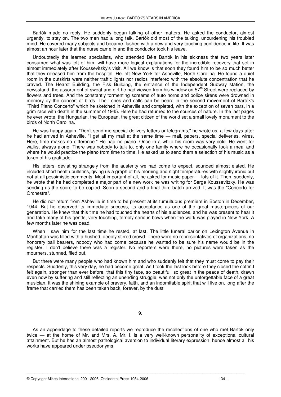Bartók made no reply. He suddenly began talking of other matters. He asked the conductor, almost urgently, to stay on. The two men had a long talk. Bartók did most of the talking, unburdening his troubled mind. He covered many subjects and became flushed with a new and very touching confidence in life. It was almost an hour later that the nurse came in and the conductor took his leave.

Undoubtedly the learned specialists, who attended Béla Bartók in his sickness that two years later consumed what was left of him, will have more logical explanations for the incredible recovery that set in almost immediately after Koussevitzky's visit. All we know is that soon they found him to be so much better that they released him from the hospital. He left New York for Asheville, North Carolina. He found a quiet room in the outskirts were neither traffic lights nor radios interfered with the absolute concentration that he craved. The Hearst Building, the Fisk Building, the entrance of the Independent Subway station, the newsstand, the assortment of sweat and dirt he had viewed from his window on  $57<sup>th</sup>$  Street were replaced by flowers and trees. And the constantly tormenting screams of auto horns and police sirens were drowned in memory by the concert of birds. Their cries and calls can be heard in the second movement of Bartók's "Third Piano Concerto" which he sketched in Asheville and completed, with the exception of seven bars, in a grim race with death in the summer of 1945. Here he had returned to the sources of nature. In the last pages he ever wrote, the Hungarian, the European, the great citizen of the world set a small lovely monument to the birds of North Carolina.

He was happy again. "Don't send me special delivery letters or telegrams," he wrote us, a few days after he had arrived in Asheville. "I get all my mail at the same time — mail, papers, special deliveries, wires. Here, time makes no difference." He had no piano. Once in a while his room was very cold. He went for walks, always alone. There was nobody to talk to, only one family where he occasionally took a meal and where he would practice the piano from time to time. He asked us to send them a selection of his music as a token of his gratitude.

His letters, deviating strangely from the austerity we had come to expect, sounded almost elated. He included short health bulletins, giving us a graph of his morning and night temperatures with slightly ironic but not at all pessimistic comments. Most important of all, he asked for music paper — lots of it. Then, suddenly, he wrote that he had completed a major part of a new work he was writing for Serge Koussevitzky. He was sending us the score to be copied. Soon a second and a final third batch arrived. It was the "Concerto for Orchestra".

He did not return from Asheville in time to be present at its tumultuous premiere in Boston in December, 1944. But he observed its immediate success, its acceptance as one of the great masterpieces of our generation. He knew that this time he had touched the hearts of his audiences, and he was present to hear it and take many of his gentle, very touching, terribly serious bows when the work was played in New York. A few months later he was dead.

When I saw him for the last time he rested, at last. The little funeral parlor on Lexington Avenue in Manhattan was filled with a hushed, deeply stirred crowd. There were no representatives of organizations, no honorary pall bearers, nobody who had come because he wanted to be sure his name would be in the register. I don't believe there was a register. No reporters were there, no pictures were taken as the mourners, stunned, filed out.

But there were many people who had known him and who suddenly felt that they must come to pay their respects. Suddenly, this very day, he had become great. As I took the last look before they closed the coffin I felt again, stronger than ever before, that this tiny face, so beautiful, so great in the peace of death, drawn even now by suffering and still reflecting an unending struggle, was not only the unforgettable face of a great musician. It was the shining example of bravery, faith, and an indomitable spirit that will live on, long after the frame that carried them has been taken back, forever, by the dust.

9.

As an appendage to these detailed reports we reproduce the recollections of one who met Bartók only twice — at the home of Mr. and Mrs. A. Mr. I. is a very well-known personality of exceptional cultural attainment. But he has an almost pathological aversion to individual literary expression; hence almost all his works have appeared under pseudonyms.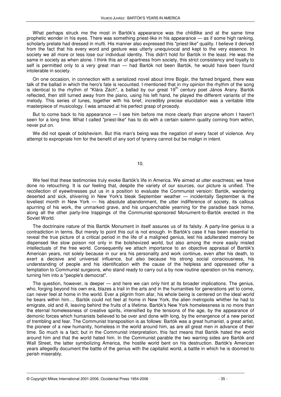What perhaps struck me the most in Bartók's appearance was the childlike and at the same time prophetic wonder in his eyes. There was something priest-like in his appearance — as if some high ranking, scholarly prelate had dressed in mufti. His manner also expressed this "priest-like" quality. I believe it derived from the fact that his every word and gesture was utterly unequivocal and kept to the very essence. In society we all more or less lose our individual identity. This didn't hold for Bartók in the least. He was the same in society as when alone. I think this air of apartness from society, this strict consistency and loyalty to self is permitted only to a very great man — had Bartók not been Bartók, he would have been found intolerable in society.

On one occasion, in connection with a serialized novel about Imre Bogár, the famed brigand, there was talk of the ballad in which the hero's fate is recounted. I mentioned that in my opinion the rhythm of the song is identical to the rhythm of "Klára Zách", a ballad by our great 19<sup>th</sup> century poet János Arany. Bartók reflected, then still turned away from the piano, using his left hand, he played the different variants of the melody. This series of tunes, together with his brief, incredibly precise elucidation was a veritable little masterpiece of musicology. I was amazed at his perfect grasp of prosody.

But to come back to his appearance — I see him before me more clearly than anyone whom I haven't seen for a long time. What I called "priest-like" has to do with a certain solemn quality coming from within, never put on.

We did not speak of bolshevism. But this man's being was the negation of every facet of violence. Any attempt to expropriate him for the benefit of any sort of tyranny cannot but be malign in intent.

We feel that these testimonies truly evoke Bartók's life in America. We aimed at utter exactness; we have done no retouching. It is our feeling that, despite the variety of our sources, our picture is unified. The recollection of eyewitnesses put us in a position to evaluate the Communist version: Bartók, wandering deserted and sick, shivering in New York's bleak September weather — incidentally September is the loveliest month in New York — his absolute abandonment, the utter indifference of society, its callous spurning of his work, the unmarked grave, and his unquenchable yearning for the paradise back home, along all the other party-line trappings of the Communist-sponsored Monument-to-Bartók erected in the Soviet World.

The doctrinaire nature of this Bartók Monument in itself assures us of its falsity. A party-line genius is a contradiction in terms. But merely to point this out is not enough. In Bartók's case it has been essential to reveal the true picture of a critical period in the life of a maligned genius, lest his adulterated memory be dispensed like slow poison not only in the bolshevized world, but also among the more easily misled intellectuals of the free world. Consequently we attach importance to an objective appraisal of Bartók's American years, not solely because in our era his personality and work continue, even after his death, to exert a decisive and universal influence, but also because his strong social consciousness, his understanding of people and his identification with the cause of the helpless and oppressed offer a temptation to Communist surgeons, who stand ready to carry out a by now routine operation on his memory, turning him into a "people's democrat".

The question, however, is deeper — and here we can only hint at its broader implications. The genius, who, forging beyond his own era, blazes a trail in the arts and in the humanities for generations yet to come, can never feel at home in the world. Ever a pilgrim from afar, his whole being is centered on the ideal world he bears within him.... Bartók could not feel at home in New York, the alien metropolis whither he had to emigrate, old and ill, leaving behind the fruits of a lifetime. Bartók's New York homelessness is no more than the eternal homelessness of creative spirits, intensified by the tensions of the age, by the appearance of demonic forces which humanists believed to be over and done with long, by the emergence of a new period of trembling and fear. The Communist transposition is as follows: Bartók was a great humanist, a great artist, the pioneer of a new humanity, homeless in the world around him, as are all great men in advance of their time. So much is a fact; but in the Communist interpretation, this fact means that Bartók hated the world around him and that the world hated him. In the Communist parable the two warring sides are Bartók and Wall Street, the latter symbolizing America, the hostile world bent on his destruction. Bartók's American years allegedly document the battle of the genius with the capitalist world, a battle in which he is doomed to perish miserably.